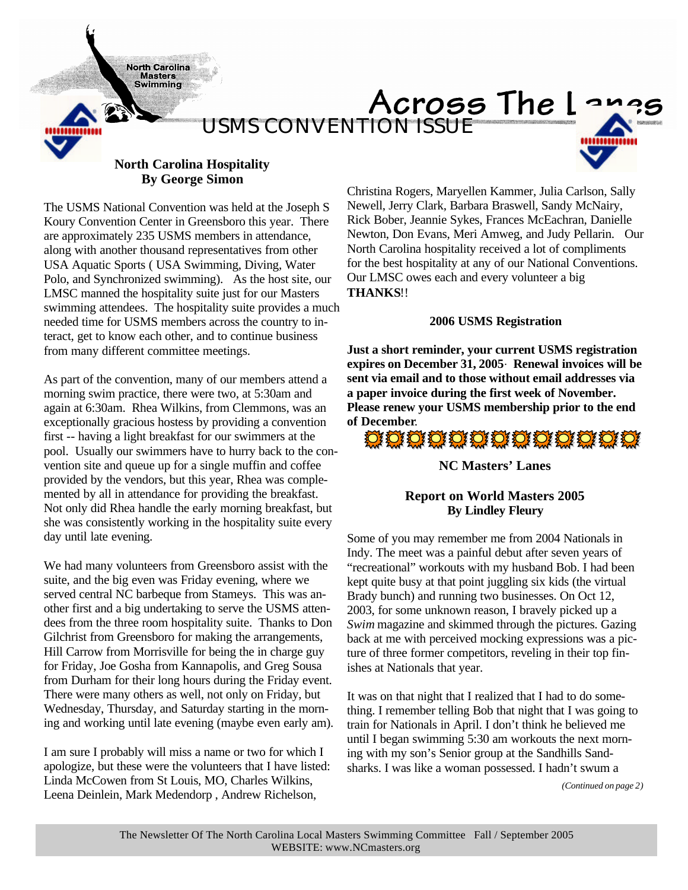**North Carolina Masters Swimming** 



## Across The Lang *USMS CONVENTION ISSUE*



## **North Carolina Hospitality By George Simon**

The USMS National Convention was held at the Joseph S Koury Convention Center in Greensboro this year. There are approximately 235 USMS members in attendance, along with another thousand representatives from other USA Aquatic Sports ( USA Swimming, Diving, Water Polo, and Synchronized swimming). As the host site, our LMSC manned the hospitality suite just for our Masters swimming attendees. The hospitality suite provides a much needed time for USMS members across the country to interact, get to know each other, and to continue business from many different committee meetings.

As part of the convention, many of our members attend a morning swim practice, there were two, at 5:30am and again at 6:30am. Rhea Wilkins, from Clemmons, was an exceptionally gracious hostess by providing a convention first -- having a light breakfast for our swimmers at the pool. Usually our swimmers have to hurry back to the convention site and queue up for a single muffin and coffee provided by the vendors, but this year, Rhea was complemented by all in attendance for providing the breakfast. Not only did Rhea handle the early morning breakfast, but she was consistently working in the hospitality suite every day until late evening.

We had many volunteers from Greensboro assist with the suite, and the big even was Friday evening, where we served central NC barbeque from Stameys. This was another first and a big undertaking to serve the USMS attendees from the three room hospitality suite. Thanks to Don Gilchrist from Greensboro for making the arrangements, Hill Carrow from Morrisville for being the in charge guy for Friday, Joe Gosha from Kannapolis, and Greg Sousa from Durham for their long hours during the Friday event. There were many others as well, not only on Friday, but Wednesday, Thursday, and Saturday starting in the morning and working until late evening (maybe even early am).

I am sure I probably will miss a name or two for which I apologize, but these were the volunteers that I have listed: Linda McCowen from St Louis, MO, Charles Wilkins, Leena Deinlein, Mark Medendorp , Andrew Richelson,

Christina Rogers, Maryellen Kammer, Julia Carlson, Sally Newell, Jerry Clark, Barbara Braswell, Sandy McNairy, Rick Bober, Jeannie Sykes, Frances McEachran, Danielle Newton, Don Evans, Meri Amweg, and Judy Pellarin. Our North Carolina hospitality received a lot of compliments for the best hospitality at any of our National Conventions. Our LMSC owes each and every volunteer a big **THANKS**!!

## **2006 USMS Registration**

**Just a short reminder, your current USMS registration expires on December 31, 2005. Renewal invoices will be sent via email and to those without email addresses via a paper invoice during the first week of November. Please renew your USMS membership prior to the end of December**.

# O O O O O O O O O O O O O O O

## **NC Masters' Lanes**

## **Report on World Masters 2005 By Lindley Fleury**

Some of you may remember me from 2004 Nationals in Indy. The meet was a painful debut after seven years of "recreational" workouts with my husband Bob. I had been kept quite busy at that point juggling six kids (the virtual Brady bunch) and running two businesses. On Oct 12, 2003, for some unknown reason, I bravely picked up a *Swim* magazine and skimmed through the pictures. Gazing back at me with perceived mocking expressions was a picture of three former competitors, reveling in their top finishes at Nationals that year.

It was on that night that I realized that I had to do something. I remember telling Bob that night that I was going to train for Nationals in April. I don't think he believed me until I began swimming 5:30 am workouts the next morning with my son's Senior group at the Sandhills Sandsharks. I was like a woman possessed. I hadn't swum a

*(Continued on page 2)*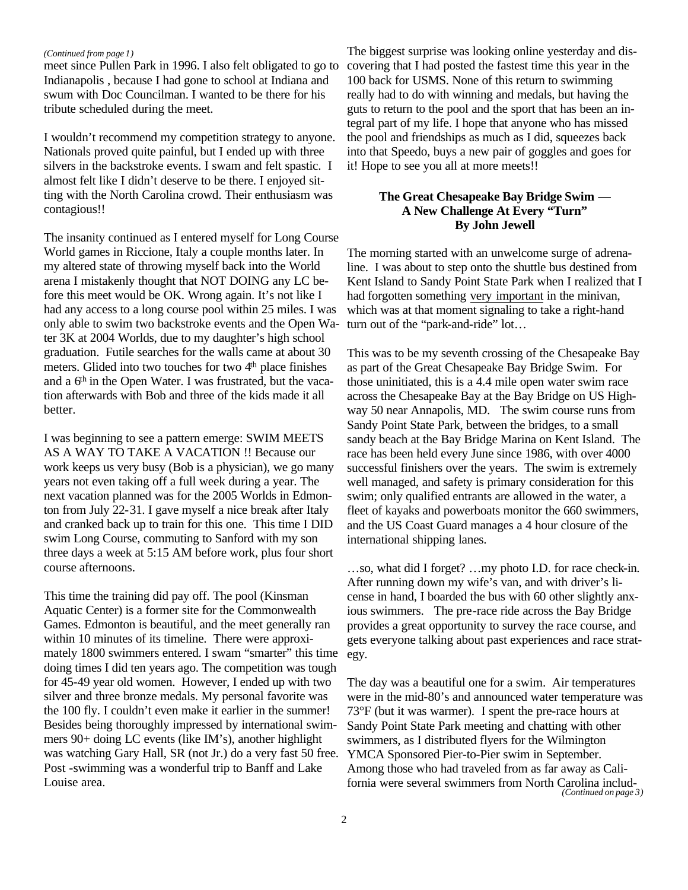#### *(Continued from page 1)*

meet since Pullen Park in 1996. I also felt obligated to go to Indianapolis , because I had gone to school at Indiana and swum with Doc Councilman. I wanted to be there for his tribute scheduled during the meet.

I wouldn't recommend my competition strategy to anyone. Nationals proved quite painful, but I ended up with three silvers in the backstroke events. I swam and felt spastic. I almost felt like I didn't deserve to be there. I enjoyed sitting with the North Carolina crowd. Their enthusiasm was contagious!!

The insanity continued as I entered myself for Long Course World games in Riccione, Italy a couple months later. In my altered state of throwing myself back into the World arena I mistakenly thought that NOT DOING any LC before this meet would be OK. Wrong again. It's not like I had any access to a long course pool within 25 miles. I was only able to swim two backstroke events and the Open Water 3K at 2004 Worlds, due to my daughter's high school graduation. Futile searches for the walls came at about 30 meters. Glided into two touches for two 4<sup>th</sup> place finishes and a 6<sup>th</sup> in the Open Water. I was frustrated, but the vacation afterwards with Bob and three of the kids made it all better.

I was beginning to see a pattern emerge: SWIM MEETS AS A WAY TO TAKE A VACATION !! Because our work keeps us very busy (Bob is a physician), we go many years not even taking off a full week during a year. The next vacation planned was for the 2005 Worlds in Edmonton from July 22-31. I gave myself a nice break after Italy and cranked back up to train for this one. This time I DID swim Long Course, commuting to Sanford with my son three days a week at 5:15 AM before work, plus four short course afternoons.

This time the training did pay off. The pool (Kinsman Aquatic Center) is a former site for the Commonwealth Games. Edmonton is beautiful, and the meet generally ran within 10 minutes of its timeline. There were approximately 1800 swimmers entered. I swam "smarter" this time doing times I did ten years ago. The competition was tough for 45-49 year old women. However, I ended up with two silver and three bronze medals. My personal favorite was the 100 fly. I couldn't even make it earlier in the summer! Besides being thoroughly impressed by international swimmers 90+ doing LC events (like IM's), another highlight was watching Gary Hall, SR (not Jr.) do a very fast 50 free. Post -swimming was a wonderful trip to Banff and Lake Louise area.

The biggest surprise was looking online yesterday and discovering that I had posted the fastest time this year in the 100 back for USMS. None of this return to swimming really had to do with winning and medals, but having the guts to return to the pool and the sport that has been an integral part of my life. I hope that anyone who has missed the pool and friendships as much as I did, squeezes back into that Speedo, buys a new pair of goggles and goes for it! Hope to see you all at more meets!!

## **The Great Chesapeake Bay Bridge Swim — A New Challenge At Every "Turn" By John Jewell**

The morning started with an unwelcome surge of adrenaline. I was about to step onto the shuttle bus destined from Kent Island to Sandy Point State Park when I realized that I had forgotten something very important in the minivan, which was at that moment signaling to take a right-hand turn out of the "park-and-ride" lot…

This was to be my seventh crossing of the Chesapeake Bay as part of the Great Chesapeake Bay Bridge Swim. For those uninitiated, this is a 4.4 mile open water swim race across the Chesapeake Bay at the Bay Bridge on US Highway 50 near Annapolis, MD. The swim course runs from Sandy Point State Park, between the bridges, to a small sandy beach at the Bay Bridge Marina on Kent Island. The race has been held every June since 1986, with over 4000 successful finishers over the years. The swim is extremely well managed, and safety is primary consideration for this swim; only qualified entrants are allowed in the water, a fleet of kayaks and powerboats monitor the 660 swimmers, and the US Coast Guard manages a 4 hour closure of the international shipping lanes.

…so, what did I forget? …my photo I.D. for race check-in. After running down my wife's van, and with driver's license in hand, I boarded the bus with 60 other slightly anxious swimmers. The pre-race ride across the Bay Bridge provides a great opportunity to survey the race course, and gets everyone talking about past experiences and race strategy.

The day was a beautiful one for a swim. Air temperatures were in the mid-80's and announced water temperature was 73°F (but it was warmer). I spent the pre-race hours at Sandy Point State Park meeting and chatting with other swimmers, as I distributed flyers for the Wilmington YMCA Sponsored Pier-to-Pier swim in September. Among those who had traveled from as far away as California were several swimmers from North Carolina includ- *(Continued on page 3)*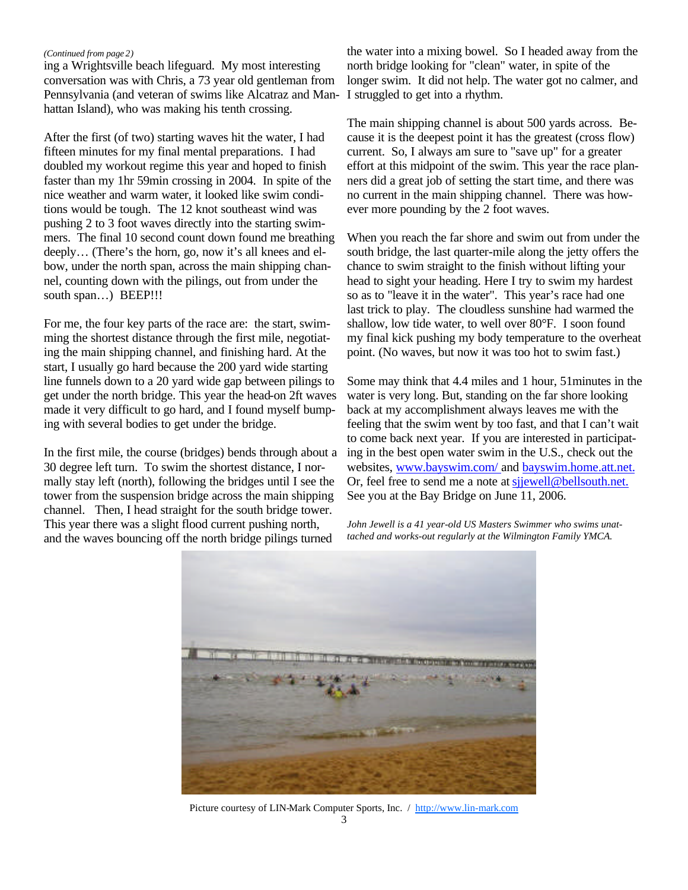#### *(Continued from page 2)*

ing a Wrightsville beach lifeguard. My most interesting conversation was with Chris, a 73 year old gentleman from Pennsylvania (and veteran of swims like Alcatraz and Manhattan Island), who was making his tenth crossing.

After the first (of two) starting waves hit the water, I had fifteen minutes for my final mental preparations. I had doubled my workout regime this year and hoped to finish faster than my 1hr 59min crossing in 2004. In spite of the nice weather and warm water, it looked like swim conditions would be tough. The 12 knot southeast wind was pushing 2 to 3 foot waves directly into the starting swimmers. The final 10 second count down found me breathing deeply… (There's the horn, go, now it's all knees and elbow, under the north span, across the main shipping channel, counting down with the pilings, out from under the south span...) BEEP!!!

For me, the four key parts of the race are: the start, swimming the shortest distance through the first mile, negotiating the main shipping channel, and finishing hard. At the start, I usually go hard because the 200 yard wide starting line funnels down to a 20 yard wide gap between pilings to get under the north bridge. This year the head-on 2ft waves made it very difficult to go hard, and I found myself bumping with several bodies to get under the bridge.

In the first mile, the course (bridges) bends through about a 30 degree left turn. To swim the shortest distance, I normally stay left (north), following the bridges until I see the tower from the suspension bridge across the main shipping channel. Then, I head straight for the south bridge tower. This year there was a slight flood current pushing north, and the waves bouncing off the north bridge pilings turned

the water into a mixing bowel. So I headed away from the north bridge looking for "clean" water, in spite of the longer swim. It did not help. The water got no calmer, and I struggled to get into a rhythm.

The main shipping channel is about 500 yards across. Because it is the deepest point it has the greatest (cross flow) current. So, I always am sure to "save up" for a greater effort at this midpoint of the swim. This year the race planners did a great job of setting the start time, and there was no current in the main shipping channel. There was however more pounding by the 2 foot waves.

When you reach the far shore and swim out from under the south bridge, the last quarter-mile along the jetty offers the chance to swim straight to the finish without lifting your head to sight your heading. Here I try to swim my hardest so as to "leave it in the water". This year's race had one last trick to play. The cloudless sunshine had warmed the shallow, low tide water, to well over 80°F. I soon found my final kick pushing my body temperature to the overheat point. (No waves, but now it was too hot to swim fast.)

Some may think that 4.4 miles and 1 hour, 51minutes in the water is very long. But, standing on the far shore looking back at my accomplishment always leaves me with the feeling that the swim went by too fast, and that I can't wait to come back next year. If you are interested in participating in the best open water swim in the U.S., check out the websites, www.bayswim.com/ and bayswim.home.att.net. Or, feel free to send me a note at sjjewell@bellsouth.net. See you at the Bay Bridge on June 11, 2006.

*John Jewell is a 41 year-old US Masters Swimmer who swims unattached and works-out regularly at the Wilmington Family YMCA.*



Picture courtesy of LIN-Mark Computer Sports, Inc. / http://www.lin-mark.com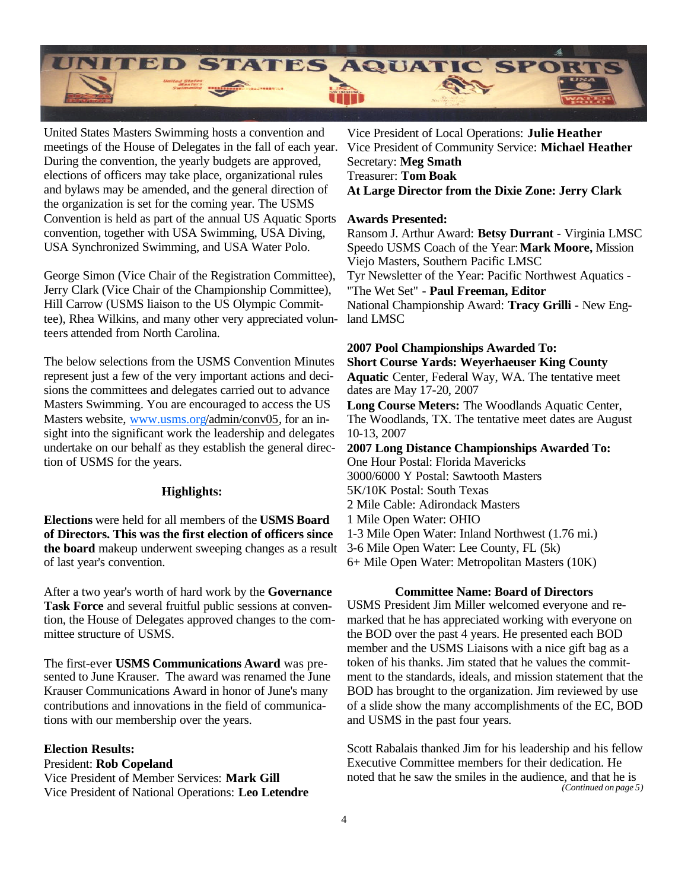

United States Masters Swimming hosts a convention and meetings of the House of Delegates in the fall of each year. During the convention, the yearly budgets are approved, elections of officers may take place, organizational rules and bylaws may be amended, and the general direction of the organization is set for the coming year. The USMS Convention is held as part of the annual US Aquatic Sports convention, together with USA Swimming, USA Diving, USA Synchronized Swimming, and USA Water Polo.

George Simon (Vice Chair of the Registration Committee), Jerry Clark (Vice Chair of the Championship Committee), Hill Carrow (USMS liaison to the US Olympic Committee), Rhea Wilkins, and many other very appreciated volunteers attended from North Carolina.

The below selections from the USMS Convention Minutes represent just a few of the very important actions and decisions the committees and delegates carried out to advance Masters Swimming. You are encouraged to access the US Masters website, www.usms.org/admin/conv05, for an insight into the significant work the leadership and delegates undertake on our behalf as they establish the general direction of USMS for the years.

### **Highlights:**

**Elections** were held for all members of the **USMS Board of Directors. This was the first election of officers since the board** makeup underwent sweeping changes as a result of last year's convention.

After a two year's worth of hard work by the **Governance Task Force** and several fruitful public sessions at convention, the House of Delegates approved changes to the committee structure of USMS.

The first-ever **USMS Communications Award** was presented to June Krauser. The award was renamed the June Krauser Communications Award in honor of June's many contributions and innovations in the field of communications with our membership over the years.

### **Election Results:**

President: **Rob Copeland** Vice President of Member Services: **Mark Gill** Vice President of National Operations: **Leo Letendre**

Vice President of Local Operations: **Julie Heather** Vice President of Community Service: **Michael Heather** Secretary: **Meg Smath** Treasurer: **Tom Boak At Large Director from the Dixie Zone: Jerry Clark**

#### **Awards Presented:**

Ransom J. Arthur Award: **Betsy Durrant** - Virginia LMSC Speedo USMS Coach of the Year: **Mark Moore,** Mission Viejo Masters, Southern Pacific LMSC Tyr Newsletter of the Year: Pacific Northwest Aquatics - "The Wet Set" - **Paul Freeman, Editor** National Championship Award: **Tracy Grilli** - New England LMSC

#### **2007 Pool Championships Awarded To:**

**Short Course Yards: Weyerhaeuser King County Aquatic** Center, Federal Way, WA. The tentative meet dates are May 17-20, 2007

**Long Course Meters:** The Woodlands Aquatic Center, The Woodlands, TX. The tentative meet dates are August 10-13, 2007

**2007 Long Distance Championships Awarded To:** One Hour Postal: Florida Mavericks 3000/6000 Y Postal: Sawtooth Masters 5K/10K Postal: South Texas

2 Mile Cable: Adirondack Masters

1 Mile Open Water: OHIO

1-3 Mile Open Water: Inland Northwest (1.76 mi.)

3-6 Mile Open Water: Lee County, FL (5k)

6+ Mile Open Water: Metropolitan Masters (10K)

### **Committee Name: Board of Directors**

USMS President Jim Miller welcomed everyone and remarked that he has appreciated working with everyone on the BOD over the past 4 years. He presented each BOD member and the USMS Liaisons with a nice gift bag as a token of his thanks. Jim stated that he values the commitment to the standards, ideals, and mission statement that the BOD has brought to the organization. Jim reviewed by use of a slide show the many accomplishments of the EC, BOD and USMS in the past four years.

Scott Rabalais thanked Jim for his leadership and his fellow Executive Committee members for their dedication. He noted that he saw the smiles in the audience, and that he is *(Continued on page 5)*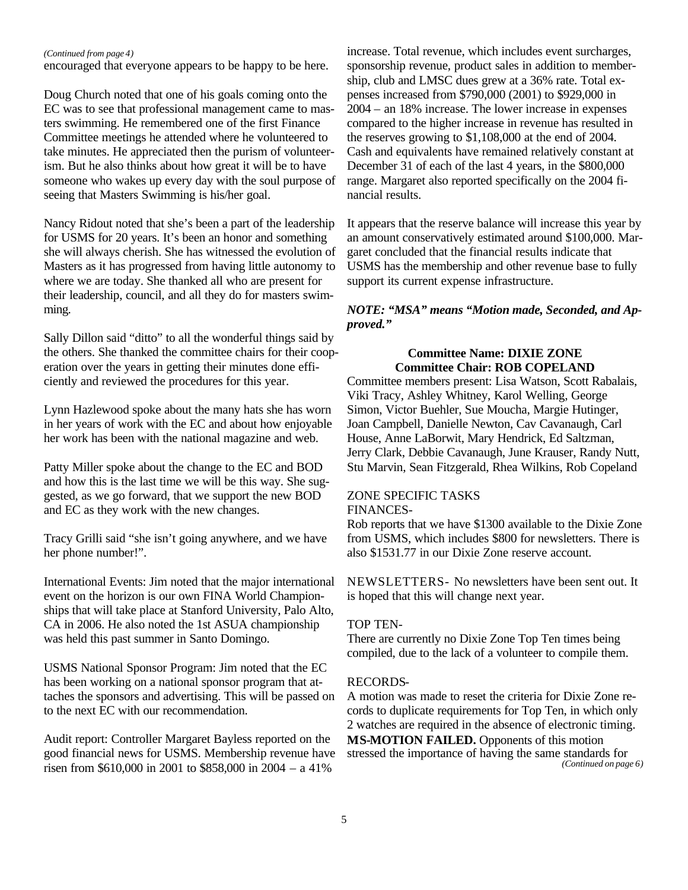#### *(Continued from page 4)*

encouraged that everyone appears to be happy to be here.

Doug Church noted that one of his goals coming onto the EC was to see that professional management came to masters swimming. He remembered one of the first Finance Committee meetings he attended where he volunteered to take minutes. He appreciated then the purism of volunteerism. But he also thinks about how great it will be to have someone who wakes up every day with the soul purpose of seeing that Masters Swimming is his/her goal.

Nancy Ridout noted that she's been a part of the leadership for USMS for 20 years. It's been an honor and something she will always cherish. She has witnessed the evolution of Masters as it has progressed from having little autonomy to where we are today. She thanked all who are present for their leadership, council, and all they do for masters swimming.

Sally Dillon said "ditto" to all the wonderful things said by the others. She thanked the committee chairs for their cooperation over the years in getting their minutes done efficiently and reviewed the procedures for this year.

Lynn Hazlewood spoke about the many hats she has worn in her years of work with the EC and about how enjoyable her work has been with the national magazine and web.

Patty Miller spoke about the change to the EC and BOD and how this is the last time we will be this way. She suggested, as we go forward, that we support the new BOD and EC as they work with the new changes.

Tracy Grilli said "she isn't going anywhere, and we have her phone number!".

International Events: Jim noted that the major international event on the horizon is our own FINA World Championships that will take place at Stanford University, Palo Alto, CA in 2006. He also noted the 1st ASUA championship was held this past summer in Santo Domingo.

USMS National Sponsor Program: Jim noted that the EC has been working on a national sponsor program that attaches the sponsors and advertising. This will be passed on to the next EC with our recommendation.

Audit report: Controller Margaret Bayless reported on the good financial news for USMS. Membership revenue have risen from \$610,000 in 2001 to \$858,000 in 2004 – a 41%

increase. Total revenue, which includes event surcharges, sponsorship revenue, product sales in addition to membership, club and LMSC dues grew at a 36% rate. Total expenses increased from \$790,000 (2001) to \$929,000 in 2004 – an 18% increase. The lower increase in expenses compared to the higher increase in revenue has resulted in the reserves growing to \$1,108,000 at the end of 2004. Cash and equivalents have remained relatively constant at December 31 of each of the last 4 years, in the \$800,000 range. Margaret also reported specifically on the 2004 financial results.

It appears that the reserve balance will increase this year by an amount conservatively estimated around \$100,000. Margaret concluded that the financial results indicate that USMS has the membership and other revenue base to fully support its current expense infrastructure.

## *NOTE: "MSA" means "Motion made, Seconded, and Approved."*

## **Committee Name: DIXIE ZONE Committee Chair: ROB COPELAND**

Committee members present: Lisa Watson, Scott Rabalais, Viki Tracy, Ashley Whitney, Karol Welling, George Simon, Victor Buehler, Sue Moucha, Margie Hutinger, Joan Campbell, Danielle Newton, Cav Cavanaugh, Carl House, Anne LaBorwit, Mary Hendrick, Ed Saltzman, Jerry Clark, Debbie Cavanaugh, June Krauser, Randy Nutt, Stu Marvin, Sean Fitzgerald, Rhea Wilkins, Rob Copeland

#### ZONE SPECIFIC TASKS FINANCES-

Rob reports that we have \$1300 available to the Dixie Zone from USMS, which includes \$800 for newsletters. There is also \$1531.77 in our Dixie Zone reserve account.

NEWSLETTERS- No newsletters have been sent out. It is hoped that this will change next year.

## TOP TEN-

There are currently no Dixie Zone Top Ten times being compiled, due to the lack of a volunteer to compile them.

#### RECORDS-

A motion was made to reset the criteria for Dixie Zone records to duplicate requirements for Top Ten, in which only 2 watches are required in the absence of electronic timing. **MS-MOTION FAILED.** Opponents of this motion stressed the importance of having the same standards for *(Continued on page 6)*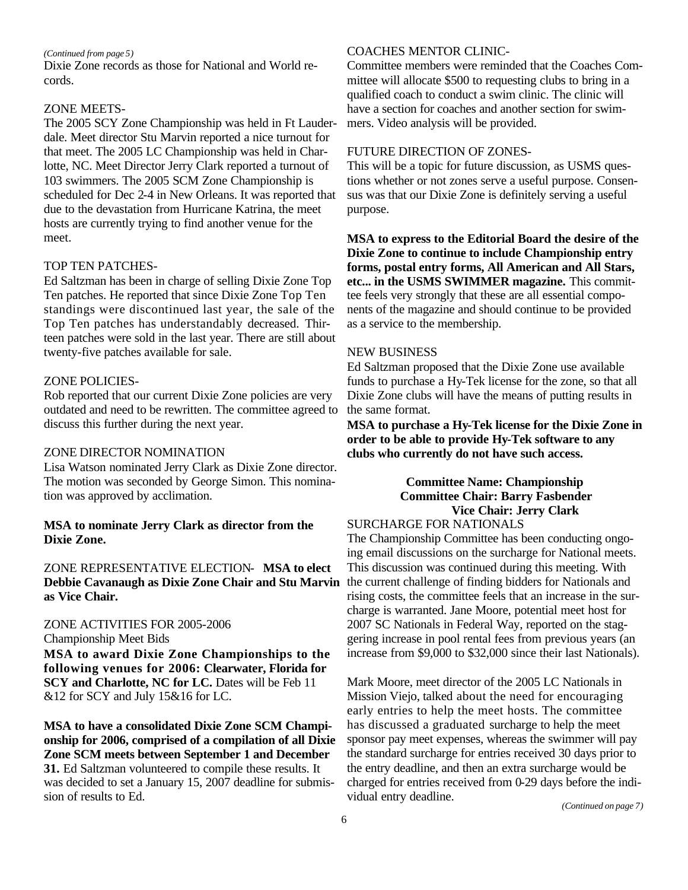#### *(Continued from page 5)*

Dixie Zone records as those for National and World records.

#### ZONE MEETS-

The 2005 SCY Zone Championship was held in Ft Lauderdale. Meet director Stu Marvin reported a nice turnout for that meet. The 2005 LC Championship was held in Charlotte, NC. Meet Director Jerry Clark reported a turnout of 103 swimmers. The 2005 SCM Zone Championship is scheduled for Dec 2-4 in New Orleans. It was reported that due to the devastation from Hurricane Katrina, the meet hosts are currently trying to find another venue for the meet.

## TOP TEN PATCHES-

Ed Saltzman has been in charge of selling Dixie Zone Top Ten patches. He reported that since Dixie Zone Top Ten standings were discontinued last year, the sale of the Top Ten patches has understandably decreased. Thirteen patches were sold in the last year. There are still about twenty-five patches available for sale.

#### ZONE POLICIES-

Rob reported that our current Dixie Zone policies are very outdated and need to be rewritten. The committee agreed to discuss this further during the next year.

### ZONE DIRECTOR NOMINATION

Lisa Watson nominated Jerry Clark as Dixie Zone director. The motion was seconded by George Simon. This nomination was approved by acclimation.

## **MSA to nominate Jerry Clark as director from the Dixie Zone.**

ZONE REPRESENTATIVE ELECTION- **MSA to elect Debbie Cavanaugh as Dixie Zone Chair and Stu Marvin as Vice Chair.**

## ZONE ACTIVITIES FOR 2005-2006

Championship Meet Bids

**MSA to award Dixie Zone Championships to the following venues for 2006: Clearwater, Florida for SCY and Charlotte, NC for LC.** Dates will be Feb 11 &12 for SCY and July 15&16 for LC.

**MSA to have a consolidated Dixie Zone SCM Championship for 2006, comprised of a compilation of all Dixie Zone SCM meets between September 1 and December 31.** Ed Saltzman volunteered to compile these results. It was decided to set a January 15, 2007 deadline for submission of results to Ed.

## COACHES MENTOR CLINIC-

Committee members were reminded that the Coaches Committee will allocate \$500 to requesting clubs to bring in a qualified coach to conduct a swim clinic. The clinic will have a section for coaches and another section for swimmers. Video analysis will be provided.

#### FUTURE DIRECTION OF ZONES-

This will be a topic for future discussion, as USMS questions whether or not zones serve a useful purpose. Consensus was that our Dixie Zone is definitely serving a useful purpose.

**MSA to express to the Editorial Board the desire of the Dixie Zone to continue to include Championship entry forms, postal entry forms, All American and All Stars, etc... in the USMS SWIMMER magazine.** This committee feels very strongly that these are all essential components of the magazine and should continue to be provided as a service to the membership.

## NEW BUSINESS

Ed Saltzman proposed that the Dixie Zone use available funds to purchase a Hy-Tek license for the zone, so that all Dixie Zone clubs will have the means of putting results in the same format.

**MSA to purchase a Hy-Tek license for the Dixie Zone in order to be able to provide Hy-Tek software to any clubs who currently do not have such access.**

## **Committee Name: Championship Committee Chair: Barry Fasbender Vice Chair: Jerry Clark**

SURCHARGE FOR NATIONALS

The Championship Committee has been conducting ongoing email discussions on the surcharge for National meets. This discussion was continued during this meeting. With the current challenge of finding bidders for Nationals and rising costs, the committee feels that an increase in the surcharge is warranted. Jane Moore, potential meet host for 2007 SC Nationals in Federal Way, reported on the staggering increase in pool rental fees from previous years (an increase from \$9,000 to \$32,000 since their last Nationals).

Mark Moore, meet director of the 2005 LC Nationals in Mission Viejo, talked about the need for encouraging early entries to help the meet hosts. The committee has discussed a graduated surcharge to help the meet sponsor pay meet expenses, whereas the swimmer will pay the standard surcharge for entries received 30 days prior to the entry deadline, and then an extra surcharge would be charged for entries received from 0-29 days before the individual entry deadline.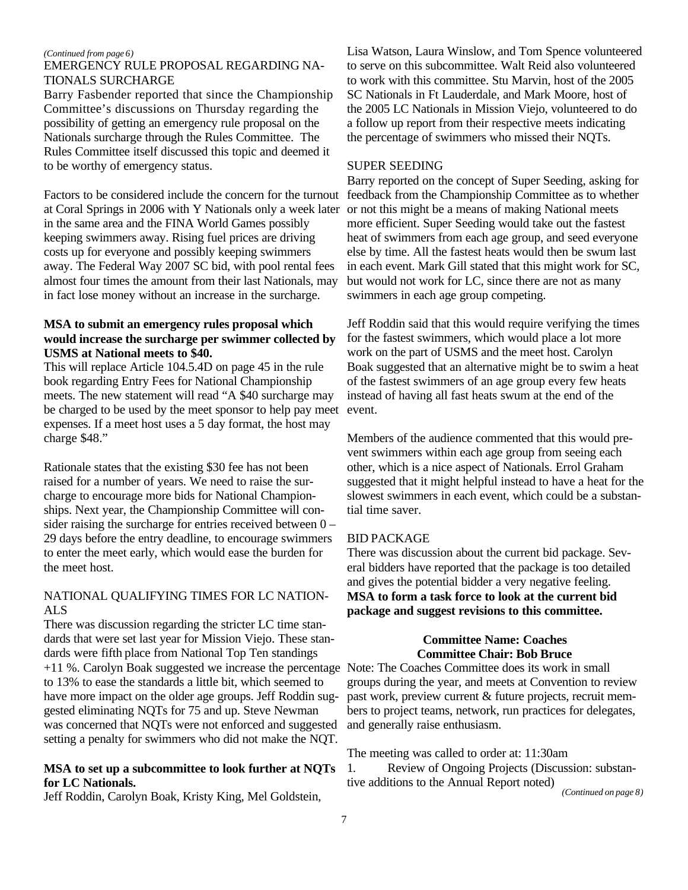#### *(Continued from page 6)*

## EMERGENCY RULE PROPOSAL REGARDING NA-TIONALS SURCHARGE

Barry Fasbender reported that since the Championship Committee's discussions on Thursday regarding the possibility of getting an emergency rule proposal on the Nationals surcharge through the Rules Committee. The Rules Committee itself discussed this topic and deemed it to be worthy of emergency status.

Factors to be considered include the concern for the turnout at Coral Springs in 2006 with Y Nationals only a week later in the same area and the FINA World Games possibly keeping swimmers away. Rising fuel prices are driving costs up for everyone and possibly keeping swimmers away. The Federal Way 2007 SC bid, with pool rental fees almost four times the amount from their last Nationals, may in fact lose money without an increase in the surcharge.

## **MSA to submit an emergency rules proposal which would increase the surcharge per swimmer collected by USMS at National meets to \$40.**

This will replace Article 104.5.4D on page 45 in the rule book regarding Entry Fees for National Championship meets. The new statement will read "A \$40 surcharge may be charged to be used by the meet sponsor to help pay meet expenses. If a meet host uses a 5 day format, the host may charge \$48."

Rationale states that the existing \$30 fee has not been raised for a number of years. We need to raise the surcharge to encourage more bids for National Championships. Next year, the Championship Committee will consider raising the surcharge for entries received between 0 – 29 days before the entry deadline, to encourage swimmers to enter the meet early, which would ease the burden for the meet host.

## NATIONAL QUALIFYING TIMES FOR LC NATION-ALS

There was discussion regarding the stricter LC time standards that were set last year for Mission Viejo. These standards were fifth place from National Top Ten standings +11 %. Carolyn Boak suggested we increase the percentage Note: The Coaches Committee does its work in small to 13% to ease the standards a little bit, which seemed to have more impact on the older age groups. Jeff Roddin suggested eliminating NQTs for 75 and up. Steve Newman was concerned that NQTs were not enforced and suggested setting a penalty for swimmers who did not make the NQT.

## **MSA to set up a subcommittee to look further at NQTs for LC Nationals.**

Jeff Roddin, Carolyn Boak, Kristy King, Mel Goldstein,

Lisa Watson, Laura Winslow, and Tom Spence volunteered to serve on this subcommittee. Walt Reid also volunteered to work with this committee. Stu Marvin, host of the 2005 SC Nationals in Ft Lauderdale, and Mark Moore, host of the 2005 LC Nationals in Mission Viejo, volunteered to do a follow up report from their respective meets indicating the percentage of swimmers who missed their NQTs.

#### SUPER SEEDING

Barry reported on the concept of Super Seeding, asking for feedback from the Championship Committee as to whether or not this might be a means of making National meets more efficient. Super Seeding would take out the fastest heat of swimmers from each age group, and seed everyone else by time. All the fastest heats would then be swum last in each event. Mark Gill stated that this might work for SC, but would not work for LC, since there are not as many swimmers in each age group competing.

Jeff Roddin said that this would require verifying the times for the fastest swimmers, which would place a lot more work on the part of USMS and the meet host. Carolyn Boak suggested that an alternative might be to swim a heat of the fastest swimmers of an age group every few heats instead of having all fast heats swum at the end of the event.

Members of the audience commented that this would prevent swimmers within each age group from seeing each other, which is a nice aspect of Nationals. Errol Graham suggested that it might helpful instead to have a heat for the slowest swimmers in each event, which could be a substantial time saver.

#### BID PACKAGE

There was discussion about the current bid package. Several bidders have reported that the package is too detailed and gives the potential bidder a very negative feeling. **MSA to form a task force to look at the current bid package and suggest revisions to this committee.**

## **Committee Name: Coaches Committee Chair: Bob Bruce**

groups during the year, and meets at Convention to review past work, preview current & future projects, recruit members to project teams, network, run practices for delegates, and generally raise enthusiasm.

The meeting was called to order at: 11:30am

1. Review of Ongoing Projects (Discussion: substantive additions to the Annual Report noted)

*(Continued on page 8)*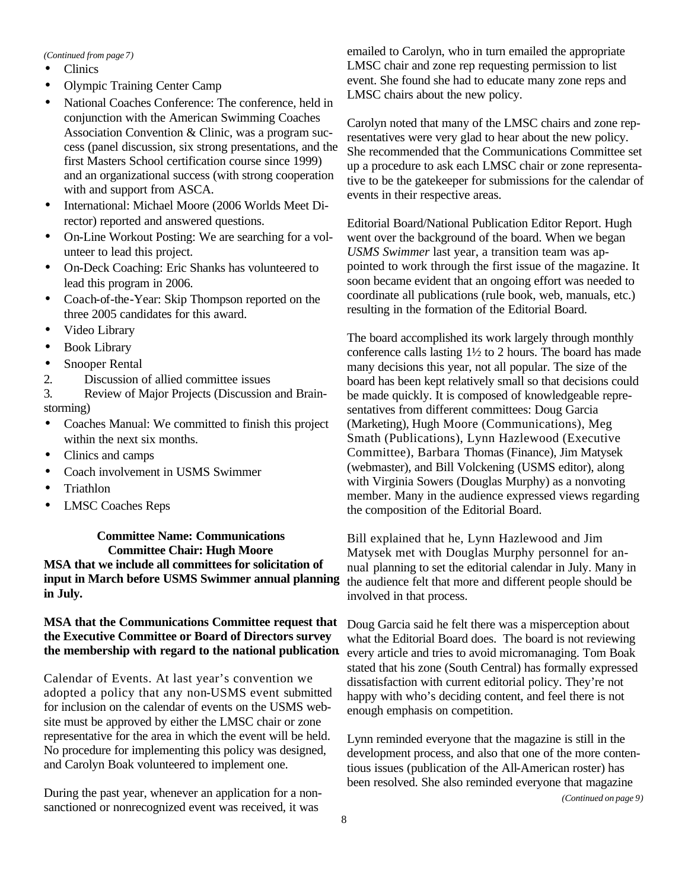#### *(Continued from page 7)*

- Clinics
- Olympic Training Center Camp
- National Coaches Conference: The conference, held in conjunction with the American Swimming Coaches Association Convention & Clinic, was a program success (panel discussion, six strong presentations, and the first Masters School certification course since 1999) and an organizational success (with strong cooperation with and support from ASCA.
- International: Michael Moore (2006 Worlds Meet Director) reported and answered questions.
- On-Line Workout Posting: We are searching for a volunteer to lead this project.
- On-Deck Coaching: Eric Shanks has volunteered to lead this program in 2006.
- Coach-of-the-Year: Skip Thompson reported on the three 2005 candidates for this award.
- Video Library
- Book Library
- Snooper Rental
- 2. Discussion of allied committee issues

3. Review of Major Projects (Discussion and Brainstorming)

- Coaches Manual: We committed to finish this project within the next six months.
- Clinics and camps
- Coach involvement in USMS Swimmer
- Triathlon
- LMSC Coaches Reps

## **Committee Name: Communications Committee Chair: Hugh Moore MSA that we include all committees for solicitation of input in March before USMS Swimmer annual planning in July.**

## **MSA that the Communications Committee request that the Executive Committee or Board of Directors survey the membership with regard to the national publication**.

Calendar of Events. At last year's convention we adopted a policy that any non-USMS event submitted for inclusion on the calendar of events on the USMS website must be approved by either the LMSC chair or zone representative for the area in which the event will be held. No procedure for implementing this policy was designed, and Carolyn Boak volunteered to implement one.

During the past year, whenever an application for a nonsanctioned or nonrecognized event was received, it was

emailed to Carolyn, who in turn emailed the appropriate LMSC chair and zone rep requesting permission to list event. She found she had to educate many zone reps and LMSC chairs about the new policy.

Carolyn noted that many of the LMSC chairs and zone representatives were very glad to hear about the new policy. She recommended that the Communications Committee set up a procedure to ask each LMSC chair or zone representative to be the gatekeeper for submissions for the calendar of events in their respective areas.

Editorial Board/National Publication Editor Report. Hugh went over the background of the board. When we began *USMS Swimmer* last year, a transition team was appointed to work through the first issue of the magazine. It soon became evident that an ongoing effort was needed to coordinate all publications (rule book, web, manuals, etc.) resulting in the formation of the Editorial Board.

The board accomplished its work largely through monthly conference calls lasting 1½ to 2 hours. The board has made many decisions this year, not all popular. The size of the board has been kept relatively small so that decisions could be made quickly. It is composed of knowledgeable representatives from different committees: Doug Garcia (Marketing), Hugh Moore (Communications), Meg Smath (Publications), Lynn Hazlewood (Executive Committee), Barbara Thomas (Finance), Jim Matysek (webmaster), and Bill Volckening (USMS editor), along with Virginia Sowers (Douglas Murphy) as a nonvoting member. Many in the audience expressed views regarding the composition of the Editorial Board.

Bill explained that he, Lynn Hazlewood and Jim Matysek met with Douglas Murphy personnel for annual planning to set the editorial calendar in July. Many in the audience felt that more and different people should be involved in that process.

Doug Garcia said he felt there was a misperception about what the Editorial Board does. The board is not reviewing every article and tries to avoid micromanaging. Tom Boak stated that his zone (South Central) has formally expressed dissatisfaction with current editorial policy. They're not happy with who's deciding content, and feel there is not enough emphasis on competition.

Lynn reminded everyone that the magazine is still in the development process, and also that one of the more contentious issues (publication of the All-American roster) has been resolved. She also reminded everyone that magazine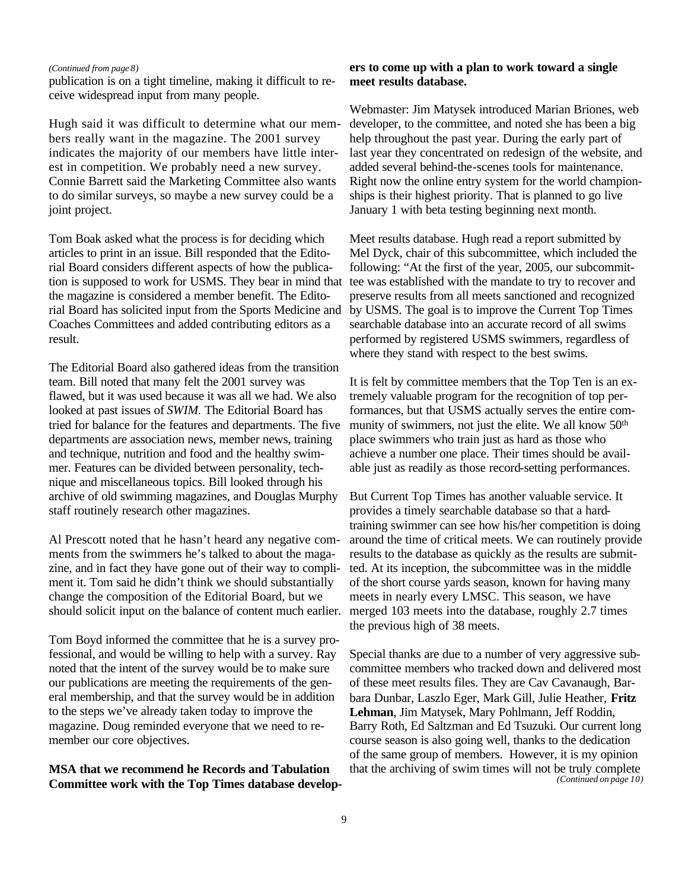#### *(Continued from page 8)*

publication is on a tight timeline, making it difficult to receive widespread input from many people.

Hugh said it was difficult to determine what our members really want in the magazine. The 2001 survey indicates the majority of our members have little interest in competition. We probably need a new survey. Connie Barrett said the Marketing Committee also wants to do similar surveys, so maybe a new survey could be a joint project.

Tom Boak asked what the process is for deciding which articles to print in an issue. Bill responded that the Editorial Board considers different aspects of how the publication is supposed to work for USMS. They bear in mind that the magazine is considered a member benefit. The Editorial Board has solicited input from the Sports Medicine and Coaches Committees and added contributing editors as a result.

The Editorial Board also gathered ideas from the transition team. Bill noted that many felt the 2001 survey was flawed, but it was used because it was all we had. We also looked at past issues of *SWIM*. The Editorial Board has tried for balance for the features and departments. The five departments are association news, member news, training and technique, nutrition and food and the healthy swimmer. Features can be divided between personality, technique and miscellaneous topics. Bill looked through his archive of old swimming magazines, and Douglas Murphy staff routinely research other magazines.

Al Prescott noted that he hasn't heard any negative comments from the swimmers he's talked to about the magazine, and in fact they have gone out of their way to compliment it. Tom said he didn't think we should substantially change the composition of the Editorial Board, but we should solicit input on the balance of content much earlier.

Tom Boyd informed the committee that he is a survey professional, and would be willing to help with a survey. Ray noted that the intent of the survey would be to make sure our publications are meeting the requirements of the general membership, and that the survey would be in addition to the steps we've already taken today to improve the magazine. Doug reminded everyone that we need to remember our core objectives.

**MSA that we recommend he Records and Tabulation Committee work with the Top Times database develop-**

## **ers to come up with a plan to work toward a single meet results database.**

Webmaster: Jim Matysek introduced Marian Briones, web developer, to the committee, and noted she has been a big help throughout the past year. During the early part of last year they concentrated on redesign of the website, and added several behind-the-scenes tools for maintenance. Right now the online entry system for the world championships is their highest priority. That is planned to go live January 1 with beta testing beginning next month.

Meet results database. Hugh read a report submitted by Mel Dyck, chair of this subcommittee, which included the following: "At the first of the year, 2005, our subcommittee was established with the mandate to try to recover and preserve results from all meets sanctioned and recognized by USMS. The goal is to improve the Current Top Times searchable database into an accurate record of all swims performed by registered USMS swimmers, regardless of where they stand with respect to the best swims.

It is felt by committee members that the Top Ten is an extremely valuable program for the recognition of top performances, but that USMS actually serves the entire community of swimmers, not just the elite. We all know 50<sup>th</sup> place swimmers who train just as hard as those who achieve a number one place. Their times should be available just as readily as those record-setting performances.

But Current Top Times has another valuable service. It provides a timely searchable database so that a hardtraining swimmer can see how his/her competition is doing around the time of critical meets. We can routinely provide results to the database as quickly as the results are submitted. At its inception, the subcommittee was in the middle of the short course yards season, known for having many meets in nearly every LMSC. This season, we have merged 103 meets into the database, roughly 2.7 times the previous high of 38 meets.

Special thanks are due to a number of very aggressive subcommittee members who tracked down and delivered most of these meet results files. They are Cav Cavanaugh, Barbara Dunbar, Laszlo Eger, Mark Gill, Julie Heather, **Fritz Lehman**, Jim Matysek, Mary Pohlmann, Jeff Roddin, Barry Roth, Ed Saltzman and Ed Tsuzuki. Our current long course season is also going well, thanks to the dedication of the same group of members. However, it is my opinion that the archiving of swim times will not be truly complete *(Continued on page 10)*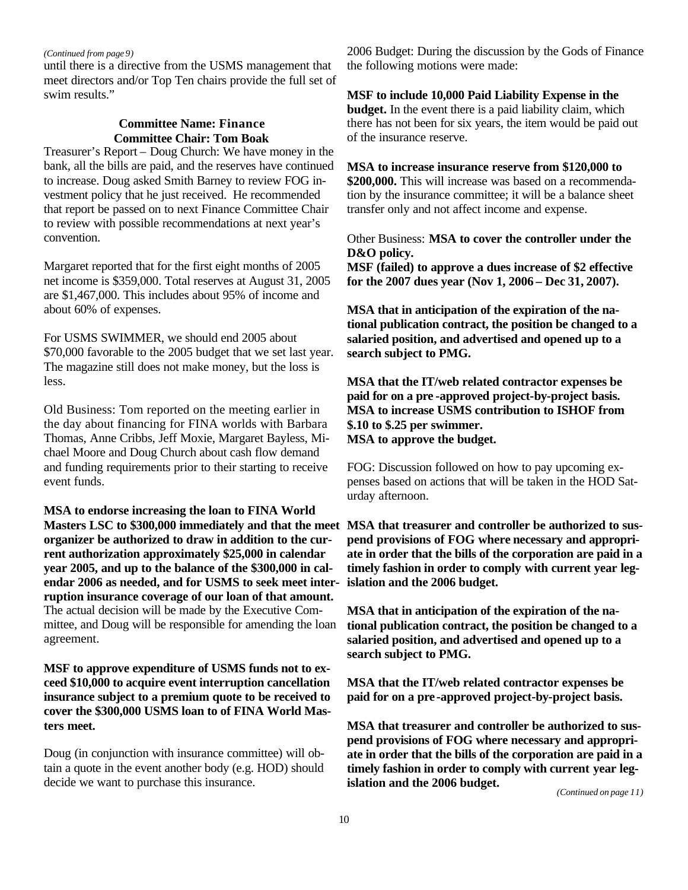#### *(Continued from page 9)*

until there is a directive from the USMS management that meet directors and/or Top Ten chairs provide the full set of swim results."

## **Committee Name: Finance Committee Chair: Tom Boak**

Treasurer's Report – Doug Church: We have money in the bank, all the bills are paid, and the reserves have continued to increase. Doug asked Smith Barney to review FOG investment policy that he just received. He recommended that report be passed on to next Finance Committee Chair to review with possible recommendations at next year's convention.

Margaret reported that for the first eight months of 2005 net income is \$359,000. Total reserves at August 31, 2005 are \$1,467,000. This includes about 95% of income and about 60% of expenses.

For USMS SWIMMER, we should end 2005 about \$70,000 favorable to the 2005 budget that we set last year. The magazine still does not make money, but the loss is less.

Old Business: Tom reported on the meeting earlier in the day about financing for FINA worlds with Barbara Thomas, Anne Cribbs, Jeff Moxie, Margaret Bayless, Michael Moore and Doug Church about cash flow demand and funding requirements prior to their starting to receive event funds.

**MSA to endorse increasing the loan to FINA World Masters LSC to \$300,000 immediately and that the meet MSA that treasurer and controller be authorized to susorganizer be authorized to draw in addition to the current authorization approximately \$25,000 in calendar year 2005, and up to the balance of the \$300,000 in calendar 2006 as needed, and for USMS to seek meet interruption insurance coverage of our loan of that amount.** The actual decision will be made by the Executive Committee, and Doug will be responsible for amending the loan agreement.

**MSF to approve expenditure of USMS funds not to exceed \$10,000 to acquire event interruption cancellation insurance subject to a premium quote to be received to cover the \$300,000 USMS loan to of FINA World Masters meet.** 

Doug (in conjunction with insurance committee) will obtain a quote in the event another body (e.g. HOD) should decide we want to purchase this insurance.

2006 Budget: During the discussion by the Gods of Finance the following motions were made:

## **MSF to include 10,000 Paid Liability Expense in the budget.** In the event there is a paid liability claim, which there has not been for six years, the item would be paid out of the insurance reserve.

**MSA to increase insurance reserve from \$120,000 to \$200,000.** This will increase was based on a recommendation by the insurance committee; it will be a balance sheet transfer only and not affect income and expense.

Other Business: **MSA to cover the controller under the D&O policy.**

**MSF (failed) to approve a dues increase of \$2 effective for the 2007 dues year (Nov 1, 2006 – Dec 31, 2007).**

**MSA that in anticipation of the expiration of the national publication contract, the position be changed to a salaried position, and advertised and opened up to a search subject to PMG.**

**MSA that the IT/web related contractor expenses be paid for on a pre -approved project-by-project basis. MSA to increase USMS contribution to ISHOF from \$.10 to \$.25 per swimmer. MSA to approve the budget.**

FOG: Discussion followed on how to pay upcoming expenses based on actions that will be taken in the HOD Saturday afternoon.

**pend provisions of FOG where necessary and appropriate in order that the bills of the corporation are paid in a timely fashion in order to comply with current year legislation and the 2006 budget.** 

**MSA that in anticipation of the expiration of the national publication contract, the position be changed to a salaried position, and advertised and opened up to a search subject to PMG.**

**MSA that the IT/web related contractor expenses be paid for on a pre-approved project-by-project basis.**

**MSA that treasurer and controller be authorized to suspend provisions of FOG where necessary and appropriate in order that the bills of the corporation are paid in a timely fashion in order to comply with current year legislation and the 2006 budget.**

*(Continued on page 11)*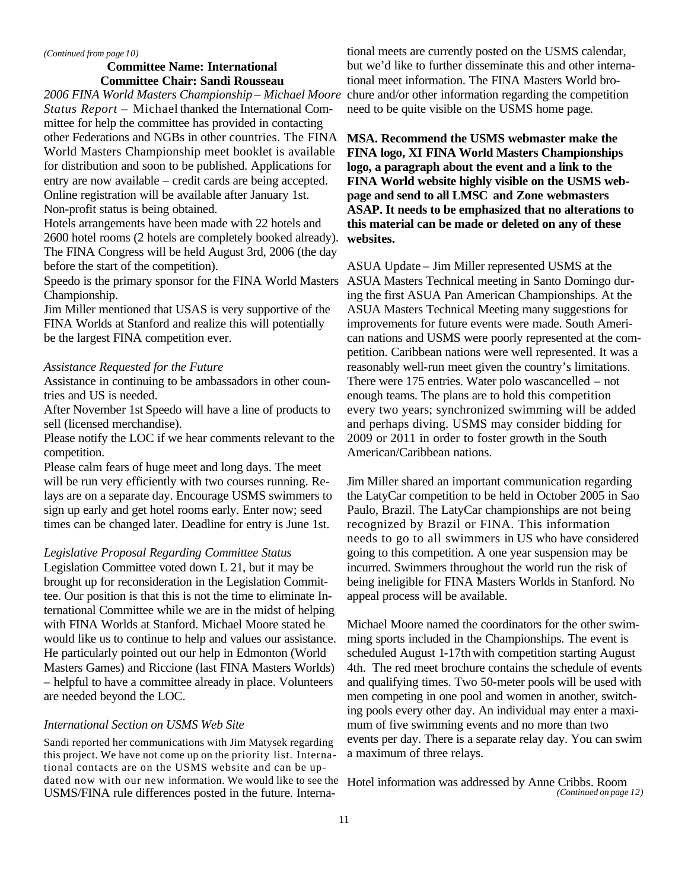#### *(Continued from page 10)*

## **Committee Name: International Committee Chair: Sandi Rousseau**

*2006 FINA World Masters Championship – Michael Moore Status Report –* Michael thanked the International Committee for help the committee has provided in contacting other Federations and NGBs in other countries. The FINA World Masters Championship meet booklet is available for distribution and soon to be published. Applications for entry are now available – credit cards are being accepted. Online registration will be available after January 1st. Non-profit status is being obtained.

Hotels arrangements have been made with 22 hotels and 2600 hotel rooms (2 hotels are completely booked already). The FINA Congress will be held August 3rd, 2006 (the day before the start of the competition).

Championship.

Jim Miller mentioned that USAS is very supportive of the FINA Worlds at Stanford and realize this will potentially be the largest FINA competition ever.

#### *Assistance Requested for the Future*

Assistance in continuing to be ambassadors in other countries and US is needed.

After November 1st Speedo will have a line of products to sell (licensed merchandise).

Please notify the LOC if we hear comments relevant to the competition.

Please calm fears of huge meet and long days. The meet will be run very efficiently with two courses running. Relays are on a separate day. Encourage USMS swimmers to sign up early and get hotel rooms early. Enter now; seed times can be changed later. Deadline for entry is June 1st.

#### *Legislative Proposal Regarding Committee Status*

Legislation Committee voted down L 21, but it may be brought up for reconsideration in the Legislation Committee. Our position is that this is not the time to eliminate International Committee while we are in the midst of helping with FINA Worlds at Stanford. Michael Moore stated he would like us to continue to help and values our assistance. He particularly pointed out our help in Edmonton (World Masters Games) and Riccione (last FINA Masters Worlds) – helpful to have a committee already in place. Volunteers are needed beyond the LOC.

#### *International Section on USMS Web Site*

Sandi reported her communications with Jim Matysek regarding this project. We have not come up on the priority list. International contacts are on the USMS website and can be updated now with our new information. We would like to see the USMS/FINA rule differences posted in the future. Interna-

tional meets are currently posted on the USMS calendar, but we'd like to further disseminate this and other international meet information. The FINA Masters World brochure and/or other information regarding the competition need to be quite visible on the USMS home page.

**MSA. Recommend the USMS webmaster make the FINA logo, XI FINA World Masters Championships logo, a paragraph about the event and a link to the FINA World website highly visible on the USMS webpage and send to all LMSC and Zone webmasters ASAP. It needs to be emphasized that no alterations to this material can be made or deleted on any of these websites.**

Speedo is the primary sponsor for the FINA World Masters ASUA Masters Technical meeting in Santo Domingo dur-ASUA Update – Jim Miller represented USMS at the ing the first ASUA Pan American Championships. At the ASUA Masters Technical Meeting many suggestions for improvements for future events were made. South American nations and USMS were poorly represented at the competition. Caribbean nations were well represented. It was a reasonably well-run meet given the country's limitations. There were 175 entries. Water polo wascancelled – not enough teams. The plans are to hold this competition every two years; synchronized swimming will be added and perhaps diving. USMS may consider bidding for 2009 or 2011 in order to foster growth in the South American/Caribbean nations.

> Jim Miller shared an important communication regarding the LatyCar competition to be held in October 2005 in Sao Paulo, Brazil. The LatyCar championships are not being recognized by Brazil or FINA. This information needs to go to all swimmers in US who have considered going to this competition. A one year suspension may be incurred. Swimmers throughout the world run the risk of being ineligible for FINA Masters Worlds in Stanford. No appeal process will be available.

Michael Moore named the coordinators for the other swimming sports included in the Championships. The event is scheduled August 1-17th with competition starting August 4th. The red meet brochure contains the schedule of events and qualifying times. Two 50-meter pools will be used with men competing in one pool and women in another, switching pools every other day. An individual may enter a maximum of five swimming events and no more than two events per day. There is a separate relay day. You can swim a maximum of three relays.

Hotel information was addressed by Anne Cribbs. Room *(Continued on page 12)*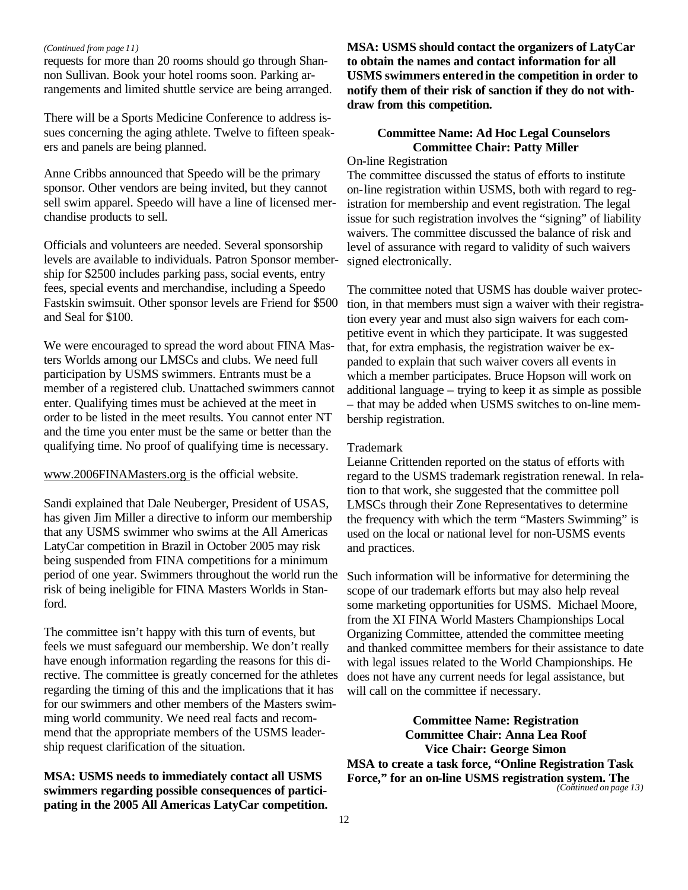#### *(Continued from page 11)*

requests for more than 20 rooms should go through Shannon Sullivan. Book your hotel rooms soon. Parking arrangements and limited shuttle service are being arranged.

There will be a Sports Medicine Conference to address issues concerning the aging athlete. Twelve to fifteen speakers and panels are being planned.

Anne Cribbs announced that Speedo will be the primary sponsor. Other vendors are being invited, but they cannot sell swim apparel. Speedo will have a line of licensed merchandise products to sell.

Officials and volunteers are needed. Several sponsorship levels are available to individuals. Patron Sponsor membership for \$2500 includes parking pass, social events, entry fees, special events and merchandise, including a Speedo Fastskin swimsuit. Other sponsor levels are Friend for \$500 and Seal for \$100.

We were encouraged to spread the word about FINA Masters Worlds among our LMSCs and clubs. We need full participation by USMS swimmers. Entrants must be a member of a registered club. Unattached swimmers cannot enter. Qualifying times must be achieved at the meet in order to be listed in the meet results. You cannot enter NT and the time you enter must be the same or better than the qualifying time. No proof of qualifying time is necessary.

www.2006FINAMasters.org is the official website.

Sandi explained that Dale Neuberger, President of USAS, has given Jim Miller a directive to inform our membership that any USMS swimmer who swims at the All Americas LatyCar competition in Brazil in October 2005 may risk being suspended from FINA competitions for a minimum period of one year. Swimmers throughout the world run the risk of being ineligible for FINA Masters Worlds in Stanford.

The committee isn't happy with this turn of events, but feels we must safeguard our membership. We don't really have enough information regarding the reasons for this directive. The committee is greatly concerned for the athletes regarding the timing of this and the implications that it has for our swimmers and other members of the Masters swimming world community. We need real facts and recommend that the appropriate members of the USMS leadership request clarification of the situation.

**MSA: USMS needs to immediately contact all USMS swimmers regarding possible consequences of participating in the 2005 All Americas LatyCar competition.** **MSA: USMS should contact the organizers of LatyCar to obtain the names and contact information for all USMS swimmers entered in the competition in order to notify them of their risk of sanction if they do not withdraw from this competition.**

## **Committee Name: Ad Hoc Legal Counselors Committee Chair: Patty Miller**

## On-line Registration

The committee discussed the status of efforts to institute on-line registration within USMS, both with regard to registration for membership and event registration. The legal issue for such registration involves the "signing" of liability waivers. The committee discussed the balance of risk and level of assurance with regard to validity of such waivers signed electronically.

The committee noted that USMS has double waiver protection, in that members must sign a waiver with their registration every year and must also sign waivers for each competitive event in which they participate. It was suggested that, for extra emphasis, the registration waiver be expanded to explain that such waiver covers all events in which a member participates. Bruce Hopson will work on additional language – trying to keep it as simple as possible – that may be added when USMS switches to on-line membership registration.

### Trademark

Leianne Crittenden reported on the status of efforts with regard to the USMS trademark registration renewal. In relation to that work, she suggested that the committee poll LMSCs through their Zone Representatives to determine the frequency with which the term "Masters Swimming" is used on the local or national level for non-USMS events and practices.

Such information will be informative for determining the scope of our trademark efforts but may also help reveal some marketing opportunities for USMS. Michael Moore, from the XI FINA World Masters Championships Local Organizing Committee, attended the committee meeting and thanked committee members for their assistance to date with legal issues related to the World Championships. He does not have any current needs for legal assistance, but will call on the committee if necessary.

**Committee Name: Registration Committee Chair: Anna Lea Roof Vice Chair: George Simon MSA to create a task force, "Online Registration Task Force," for an on-line USMS registration system. The** 

*(Continued on page 13)*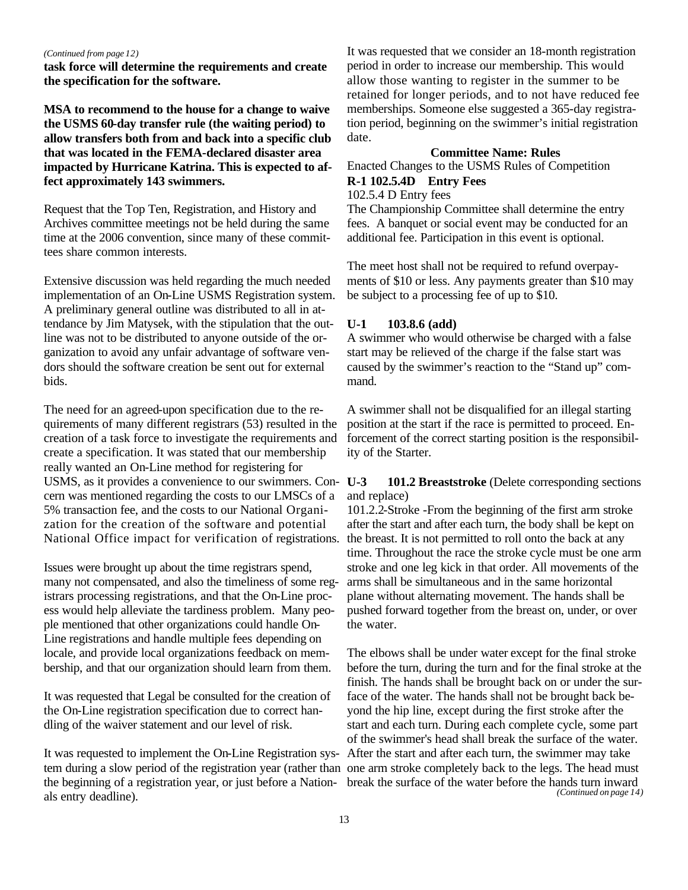#### *(Continued from page 12)*

**task force will determine the requirements and create the specification for the software.**

**MSA to recommend to the house for a change to waive the USMS 60-day transfer rule (the waiting period) to allow transfers both from and back into a specific club that was located in the FEMA-declared disaster area impacted by Hurricane Katrina. This is expected to affect approximately 143 swimmers.**

Request that the Top Ten, Registration, and History and Archives committee meetings not be held during the same time at the 2006 convention, since many of these committees share common interests.

Extensive discussion was held regarding the much needed implementation of an On-Line USMS Registration system. A preliminary general outline was distributed to all in attendance by Jim Matysek, with the stipulation that the outline was not to be distributed to anyone outside of the organization to avoid any unfair advantage of software vendors should the software creation be sent out for external bids.

The need for an agreed-upon specification due to the requirements of many different registrars (53) resulted in the creation of a task force to investigate the requirements and create a specification. It was stated that our membership really wanted an On-Line method for registering for USMS, as it provides a convenience to our swimmers. Con- U-3 cern was mentioned regarding the costs to our LMSCs of a 5% transaction fee, and the costs to our National Organization for the creation of the software and potential National Office impact for verification of registrations.

Issues were brought up about the time registrars spend, many not compensated, and also the timeliness of some registrars processing registrations, and that the On-Line process would help alleviate the tardiness problem. Many people mentioned that other organizations could handle On-Line registrations and handle multiple fees depending on locale, and provide local organizations feedback on membership, and that our organization should learn from them.

It was requested that Legal be consulted for the creation of the On-Line registration specification due to correct handling of the waiver statement and our level of risk.

tem during a slow period of the registration year (rather than one arm stroke completely back to the legs. The head must the beginning of a registration year, or just before a Nation-break the surface of the water before the hands turn inward als entry deadline).

It was requested that we consider an 18-month registration period in order to increase our membership. This would allow those wanting to register in the summer to be retained for longer periods, and to not have reduced fee memberships. Someone else suggested a 365-day registration period, beginning on the swimmer's initial registration date.

#### **Committee Name: Rules**

Enacted Changes to the USMS Rules of Competition **R-1 102.5.4D Entry Fees**

## 102.5.4 D Entry fees

The Championship Committee shall determine the entry fees. A banquet or social event may be conducted for an additional fee. Participation in this event is optional.

The meet host shall not be required to refund overpayments of \$10 or less. Any payments greater than \$10 may be subject to a processing fee of up to \$10.

#### **U-1 103.8.6 (add)**

A swimmer who would otherwise be charged with a false start may be relieved of the charge if the false start was caused by the swimmer's reaction to the "Stand up" command.

A swimmer shall not be disqualified for an illegal starting position at the start if the race is permitted to proceed. Enforcement of the correct starting position is the responsibility of the Starter.

## 101.2 Breaststroke (Delete corresponding sections and replace)

101.2.2-Stroke -From the beginning of the first arm stroke after the start and after each turn, the body shall be kept on the breast. It is not permitted to roll onto the back at any time. Throughout the race the stroke cycle must be one arm stroke and one leg kick in that order. All movements of the arms shall be simultaneous and in the same horizontal plane without alternating movement. The hands shall be pushed forward together from the breast on, under, or over the water.

It was requested to implement the On-Line Registration sys-After the start and after each turn, the swimmer may take The elbows shall be under water except for the final stroke before the turn, during the turn and for the final stroke at the finish. The hands shall be brought back on or under the surface of the water. The hands shall not be brought back beyond the hip line, except during the first stroke after the start and each turn. During each complete cycle, some part of the swimmer's head shall break the surface of the water. *(Continued on page 14)*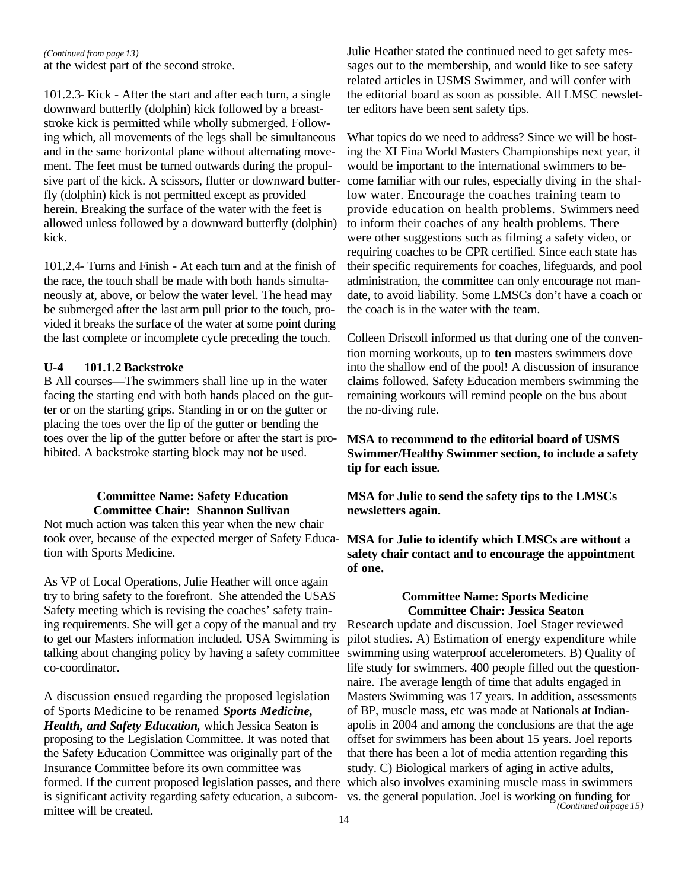at the widest part of the second stroke. *(Continued from page 13)*

101.2.3- Kick - After the start and after each turn, a single downward butterfly (dolphin) kick followed by a breaststroke kick is permitted while wholly submerged. Following which, all movements of the legs shall be simultaneous and in the same horizontal plane without alternating movement. The feet must be turned outwards during the propulsive part of the kick. A scissors, flutter or downward butterfly (dolphin) kick is not permitted except as provided herein. Breaking the surface of the water with the feet is allowed unless followed by a downward butterfly (dolphin) kick.

101.2.4- Turns and Finish - At each turn and at the finish of the race, the touch shall be made with both hands simultaneously at, above, or below the water level. The head may be submerged after the last arm pull prior to the touch, provided it breaks the surface of the water at some point during the last complete or incomplete cycle preceding the touch.

#### **U-4 101.1.2 Backstroke**

B All courses—The swimmers shall line up in the water facing the starting end with both hands placed on the gutter or on the starting grips. Standing in or on the gutter or placing the toes over the lip of the gutter or bending the toes over the lip of the gutter before or after the start is prohibited. A backstroke starting block may not be used.

#### **Committee Name: Safety Education Committee Chair: Shannon Sullivan**

Not much action was taken this year when the new chair took over, because of the expected merger of Safety Education with Sports Medicine.

As VP of Local Operations, Julie Heather will once again try to bring safety to the forefront. She attended the USAS Safety meeting which is revising the coaches' safety training requirements. She will get a copy of the manual and try to get our Masters information included. USA Swimming is talking about changing policy by having a safety committee co-coordinator.

A discussion ensued regarding the proposed legislation of Sports Medicine to be renamed *Sports Medicine, Health, and Safety Education,* which Jessica Seaton is proposing to the Legislation Committee. It was noted that the Safety Education Committee was originally part of the Insurance Committee before its own committee was formed. If the current proposed legislation passes, and there which also involves examining muscle mass in swimmers is significant activity regarding safety education, a subcom-vs. the general population. Joel is working on funding for mittee will be created.

Julie Heather stated the continued need to get safety messages out to the membership, and would like to see safety related articles in USMS Swimmer, and will confer with the editorial board as soon as possible. All LMSC newsletter editors have been sent safety tips.

What topics do we need to address? Since we will be hosting the XI Fina World Masters Championships next year, it would be important to the international swimmers to become familiar with our rules, especially diving in the shallow water. Encourage the coaches training team to provide education on health problems. Swimmers need to inform their coaches of any health problems. There were other suggestions such as filming a safety video, or requiring coaches to be CPR certified. Since each state has their specific requirements for coaches, lifeguards, and pool administration, the committee can only encourage not mandate, to avoid liability. Some LMSCs don't have a coach or the coach is in the water with the team.

Colleen Driscoll informed us that during one of the convention morning workouts, up to **ten** masters swimmers dove into the shallow end of the pool! A discussion of insurance claims followed. Safety Education members swimming the remaining workouts will remind people on the bus about the no-diving rule.

## **MSA to recommend to the editorial board of USMS Swimmer/Healthy Swimmer section, to include a safety tip for each issue.**

**MSA for Julie to send the safety tips to the LMSCs newsletters again.**

**MSA for Julie to identify which LMSCs are without a safety chair contact and to encourage the appointment of one.**

#### **Committee Name: Sports Medicine Committee Chair: Jessica Seaton**

Research update and discussion. Joel Stager reviewed pilot studies. A) Estimation of energy expenditure while swimming using waterproof accelerometers. B) Quality of life study for swimmers. 400 people filled out the questionnaire. The average length of time that adults engaged in Masters Swimming was 17 years. In addition, assessments of BP, muscle mass, etc was made at Nationals at Indianapolis in 2004 and among the conclusions are that the age offset for swimmers has been about 15 years. Joel reports that there has been a lot of media attention regarding this study. C) Biological markers of aging in active adults, *(Continued on page 15)*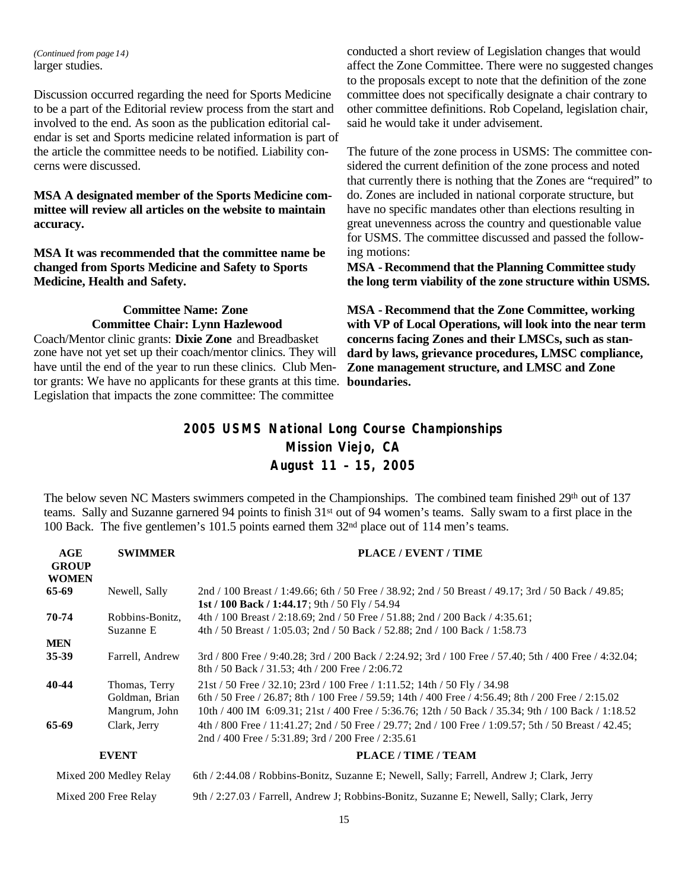larger studies. *(Continued from page 14)*

Discussion occurred regarding the need for Sports Medicine to be a part of the Editorial review process from the start and involved to the end. As soon as the publication editorial calendar is set and Sports medicine related information is part of the article the committee needs to be notified. Liability concerns were discussed.

## **MSA A designated member of the Sports Medicine committee will review all articles on the website to maintain accuracy.**

**MSA It was recommended that the committee name be changed from Sports Medicine and Safety to Sports Medicine, Health and Safety.**

## **Committee Name: Zone Committee Chair: Lynn Hazlewood**

Coach/Mentor clinic grants: **Dixie Zone** and Breadbasket zone have not yet set up their coach/mentor clinics. They will have until the end of the year to run these clinics. Club Mentor grants: We have no applicants for these grants at this time. **boundaries.** Legislation that impacts the zone committee: The committee

conducted a short review of Legislation changes that would affect the Zone Committee. There were no suggested changes to the proposals except to note that the definition of the zone committee does not specifically designate a chair contrary to other committee definitions. Rob Copeland, legislation chair, said he would take it under advisement.

The future of the zone process in USMS: The committee considered the current definition of the zone process and noted that currently there is nothing that the Zones are "required" to do. Zones are included in national corporate structure, but have no specific mandates other than elections resulting in great unevenness across the country and questionable value for USMS. The committee discussed and passed the following motions:

**MSA - Recommend that the Planning Committee study the long term viability of the zone structure within USMS.**

**MSA - Recommend that the Zone Committee, working with VP of Local Operations, will look into the near term concerns facing Zones and their LMSCs, such as standard by laws, grievance procedures, LMSC compliance, Zone management structure, and LMSC and Zone** 

## **2005 USMS National Long Course Championships Mission Viejo, CA August 11 – 15, 2005**

The below seven NC Masters swimmers competed in the Championships. The combined team finished 29<sup>th</sup> out of 137 teams. Sally and Suzanne garnered 94 points to finish 31st out of 94 women's teams. Sally swam to a first place in the 100 Back. The five gentlemen's 101.5 points earned them 32nd place out of 114 men's teams.

| AGE<br><b>GROUP</b><br><b>WOMEN</b> | <b>SWIMMER</b>                                   | PLACE / EVENT / TIME                                                                                                                                                                                                                                                                               |
|-------------------------------------|--------------------------------------------------|----------------------------------------------------------------------------------------------------------------------------------------------------------------------------------------------------------------------------------------------------------------------------------------------------|
| 65-69                               | Newell, Sally                                    | 2nd / 100 Breast / 1:49.66; 6th / 50 Free / 38.92; 2nd / 50 Breast / 49.17; 3rd / 50 Back / 49.85;<br>1st / 100 Back / 1:44.17; 9th / 50 Fly / 54.94                                                                                                                                               |
| 70-74                               | Robbins-Bonitz,<br>Suzanne E                     | 4th / 100 Breast / 2:18.69; 2nd / 50 Free / 51.88; 2nd / 200 Back / 4:35.61;<br>4th / 50 Breast / 1:05.03; 2nd / 50 Back / 52.88; 2nd / 100 Back / 1:58.73                                                                                                                                         |
| <b>MEN</b>                          |                                                  |                                                                                                                                                                                                                                                                                                    |
| 35-39                               | Farrell, Andrew                                  | 3rd / 800 Free / 9:40.28; 3rd / 200 Back / 2:24.92; 3rd / 100 Free / 57.40; 5th / 400 Free / 4:32.04;<br>8th / 50 Back / 31.53; 4th / 200 Free / 2:06.72                                                                                                                                           |
| 40-44                               | Thomas, Terry<br>Goldman, Brian<br>Mangrum, John | $21st / 50$ Free $/ 32.10$ ; $23rd / 100$ Free $/ 1:11.52$ ; $14th / 50$ Fly $/ 34.98$<br>6th / 50 Free / 26.87; 8th / 100 Free / 59.59; 14th / 400 Free / 4:56.49; 8th / 200 Free / 2:15.02<br>10th / 400 IM 6:09.31; 21st / 400 Free / 5:36.76; 12th / 50 Back / 35.34; 9th / 100 Back / 1:18.52 |
| 65-69                               | Clark, Jerry                                     | 4th / 800 Free / 11:41.27; 2nd / 50 Free / 29.77; 2nd / 100 Free / 1:09.57; 5th / 50 Breast / 42.45;<br>2nd / 400 Free / 5:31.89; 3rd / 200 Free / 2:35.61                                                                                                                                         |
|                                     | <b>EVENT</b>                                     | PLACE/TIME/TEAM                                                                                                                                                                                                                                                                                    |
|                                     | Mixed 200 Medley Relay                           | 6th / 2:44.08 / Robbins-Bonitz, Suzanne E; Newell, Sally; Farrell, Andrew J; Clark, Jerry                                                                                                                                                                                                          |

Mixed 200 Free Relay 9th / 2:27.03 / Farrell, Andrew J; Robbins-Bonitz, Suzanne E; Newell, Sally; Clark, Jerry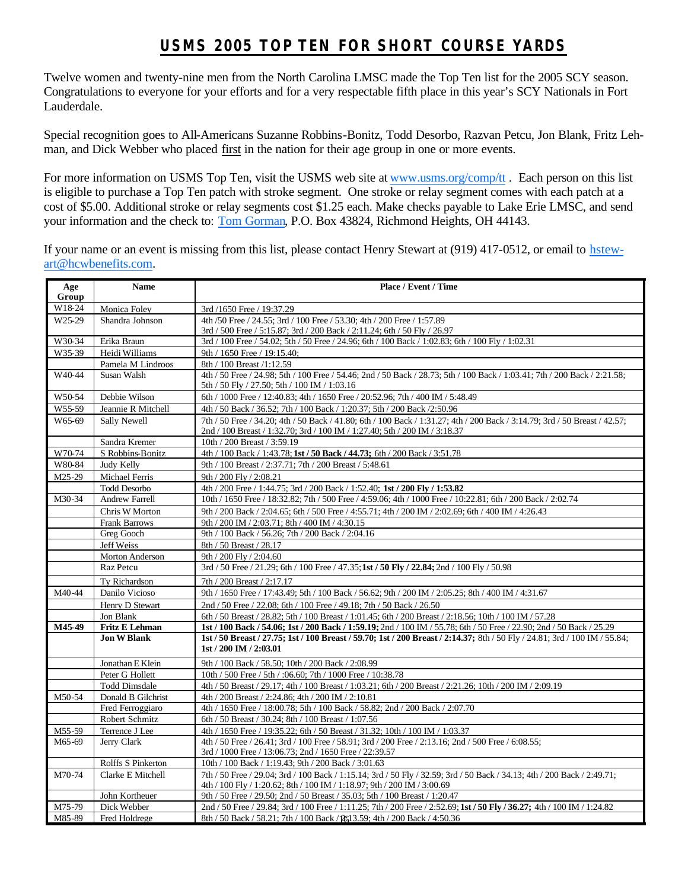## **USMS 2005 TOP TEN FOR SHORT COURSE YARDS**

Twelve women and twenty-nine men from the North Carolina LMSC made the Top Ten list for the 2005 SCY season. Congratulations to everyone for your efforts and for a very respectable fifth place in this year's SCY Nationals in Fort Lauderdale.

Special recognition goes to All-Americans Suzanne Robbins-Bonitz, Todd Desorbo, Razvan Petcu, Jon Blank, Fritz Lehman, and Dick Webber who placed first in the nation for their age group in one or more events.

For more information on USMS Top Ten, visit the USMS web site at www.usms.org/comp/tt. Each person on this list is eligible to purchase a Top Ten patch with stroke segment. One stroke or relay segment comes with each patch at a cost of \$5.00. Additional stroke or relay segments cost \$1.25 each. Make checks payable to Lake Erie LMSC, and send your information and the check to: Tom Gorman, P.O. Box 43824, Richmond Heights, OH 44143.

If your name or an event is missing from this list, please contact Henry Stewart at (919) 417-0512, or email to hstewart@hcwbenefits.com.

| Age                | <b>Name</b>           | Place / Event / Time                                                                                                                                                                                     |  |
|--------------------|-----------------------|----------------------------------------------------------------------------------------------------------------------------------------------------------------------------------------------------------|--|
| Group              |                       |                                                                                                                                                                                                          |  |
| W18-24             | Monica Foley          | 3rd /1650 Free / 19:37.29                                                                                                                                                                                |  |
| W <sub>25-29</sub> | Shandra Johnson       | 4th /50 Free / 24.55; 3rd / 100 Free / 53.30; 4th / 200 Free / 1:57.89                                                                                                                                   |  |
| W30-34             | Erika Braun           | 3rd / 500 Free / 5:15.87; 3rd / 200 Back / 2:11.24; 6th / 50 Fly / 26.97<br>3rd / 100 Free / 54.02; 5th / 50 Free / 24.96; 6th / 100 Back / 1:02.83; 6th / 100 Fly / 1:02.31                             |  |
| W <sub>35-39</sub> | Heidi Williams        | 9th / 1650 Free / 19:15.40:                                                                                                                                                                              |  |
|                    | Pamela M Lindroos     | 8th / 100 Breast /1:12.59                                                                                                                                                                                |  |
| W40-44             | Susan Walsh           | 4th / 50 Free / 24.98; 5th / 100 Free / 54.46; 2nd / 50 Back / 28.73; 5th / 100 Back / 1:03.41; 7th / 200 Back / 2:21.58;                                                                                |  |
|                    |                       | 5th / 50 Fly / 27.50; 5th / 100 IM / 1:03.16                                                                                                                                                             |  |
| W50-54             | Debbie Wilson         | 6th / 1000 Free / 12:40.83; 4th / 1650 Free / 20:52.96; 7th / 400 IM / 5:48.49                                                                                                                           |  |
| W55-59             | Jeannie R Mitchell    | 4th / 50 Back / 36.52; 7th / 100 Back / 1:20.37; 5th / 200 Back / 2:50.96                                                                                                                                |  |
| W65-69             | Sally Newell          | 7th / 50 Free / 34.20; 4th / 50 Back / 41.80; 6th / 100 Back / 1:31.27; 4th / 200 Back / 3:14.79; 3rd / 50 Breast / 42.57;<br>2nd / 100 Breast / 1:32.70; 3rd / 100 IM / 1:27.40; 5th / 200 IM / 3:18.37 |  |
|                    | Sandra Kremer         | 10th / 200 Breast / 3:59.19                                                                                                                                                                              |  |
| W70-74             | S Robbins-Bonitz      | 4th / 100 Back / 1:43.78; 1st / 50 Back / 44.73; 6th / 200 Back / 3:51.78                                                                                                                                |  |
| W80-84             | Judy Kelly            | 9th / 100 Breast / 2:37.71; 7th / 200 Breast / 5:48.61                                                                                                                                                   |  |
| M25-29             | Michael Ferris        | 9th / 200 Fly / 2:08.21                                                                                                                                                                                  |  |
|                    | <b>Todd Desorbo</b>   | 4th / 200 Free / 1:44.75; 3rd / 200 Back / 1:52.40; 1st / 200 Fly / 1:53.82                                                                                                                              |  |
| M30-34             | <b>Andrew Farrell</b> | 10th / 1650 Free / 18:32.82; 7th / 500 Free / 4:59.06; 4th / 1000 Free / 10:22.81; 6th / 200 Back / 2:02.74                                                                                              |  |
|                    | Chris W Morton        | 9th / 200 Back / 2:04.65; 6th / 500 Free / 4:55.71; 4th / 200 IM / 2:02.69; 6th / 400 IM / 4:26.43                                                                                                       |  |
|                    | <b>Frank Barrows</b>  | 9th / 200 IM / 2:03.71; 8th / 400 IM / 4:30.15                                                                                                                                                           |  |
|                    | Greg Gooch            | 9th / 100 Back / 56.26; 7th / 200 Back / 2:04.16                                                                                                                                                         |  |
|                    | Jeff Weiss            | 8th / 50 Breast / 28.17                                                                                                                                                                                  |  |
|                    | Morton Anderson       | 9th / 200 Fly / 2:04.60                                                                                                                                                                                  |  |
|                    | Raz Petcu             | 3rd / 50 Free / 21.29; 6th / 100 Free / 47.35; 1st / 50 Fly / 22.84; 2nd / 100 Fly / 50.98                                                                                                               |  |
|                    | Ty Richardson         | 7th / 200 Breast / 2:17.17                                                                                                                                                                               |  |
| M40-44             | Danilo Vicioso        | 9th / 1650 Free / 17:43.49; 5th / 100 Back / 56.62; 9th / 200 IM / 2:05.25; 8th / 400 IM / 4:31.67                                                                                                       |  |
|                    | Henry D Stewart       | 2nd / 50 Free / 22.08; 6th / 100 Free / 49.18; 7th / 50 Back / 26.50                                                                                                                                     |  |
|                    | Jon Blank             | 6th / 50 Breast / 28.82; 5th / 100 Breast / 1:01.45; 6th / 200 Breast / 2:18.56; 10th / 100 IM / 57.28                                                                                                   |  |
| M45-49             | <b>Fritz E Lehman</b> | 1st / 100 Back / 54.06; 1st / 200 Back / 1:59.19; 2nd / 100 IM / 55.78; 6th / 50 Free / 22.90; 2nd / 50 Back / 25.29                                                                                     |  |
|                    | <b>Jon W Blank</b>    | 1st / 50 Breast / 27.75; 1st / 100 Breast / 59.70; 1st / 200 Breast / 2:14.37; 8th / 50 Fly / 24.81; 3rd / 100 IM / 55.84;<br>1st / 200 IM / 2:03.01                                                     |  |
|                    | Jonathan E Klein      | 9th / 100 Back / 58.50; 10th / 200 Back / 2:08.99                                                                                                                                                        |  |
|                    | Peter G Hollett       | 10th / 500 Free / 5th / :06.60; 7th / 1000 Free / 10:38.78                                                                                                                                               |  |
|                    | <b>Todd Dimsdale</b>  | 4th / 50 Breast / 29.17; 4th / 100 Breast / 1:03.21; 6th / 200 Breast / 2:21.26; 10th / 200 IM / 2:09.19                                                                                                 |  |
| M50-54             | Donald B Gilchrist    | 4th / 200 Breast / 2:24.86; 4th / 200 IM / 2:10.81                                                                                                                                                       |  |
|                    | Fred Ferroggiaro      | 4th / 1650 Free / 18:00.78; 5th / 100 Back / 58.82; 2nd / 200 Back / 2:07.70                                                                                                                             |  |
|                    | Robert Schmitz        | 6th / 50 Breast / 30.24; 8th / 100 Breast / 1:07.56                                                                                                                                                      |  |
| M55-59             | Terrence J Lee        | 4th / 1650 Free / 19:35.22; 6th / 50 Breast / 31.32; 10th / 100 IM / 1:03.37                                                                                                                             |  |
| M65-69             | Jerry Clark           | 4th / 50 Free / 26.41; 3rd / 100 Free / 58.91; 3rd / 200 Free / 2:13.16; 2nd / 500 Free / 6:08.55;<br>3rd / 1000 Free / 13:06.73; 2nd / 1650 Free / 22:39.57                                             |  |
|                    | Rolffs S Pinkerton    | 10th / 100 Back / 1:19.43; 9th / 200 Back / 3:01.63                                                                                                                                                      |  |
| M70-74             | Clarke E Mitchell     | 7th / 50 Free / 29.04; 3rd / 100 Back / 1:15.14; 3rd / 50 Fly / 32.59; 3rd / 50 Back / 34.13; 4th / 200 Back / 2:49.71;<br>4th / 100 Fly / 1:20.62; 8th / 100 IM / 1:18.97; 9th / 200 IM / 3:00.69       |  |
|                    | John Kortheuer        | 9th / 50 Free / 29.50; 2nd / 50 Breast / 35.03; 5th / 100 Breast / 1:20.47                                                                                                                               |  |
| M75-79             | Dick Webber           | 2nd / 50 Free / 29.84; 3rd / 100 Free / 1:11.25; 7th / 200 Free / 2:52.69; 1st / 50 Fly / 36.27; 4th / 100 IM / 1:24.82                                                                                  |  |
| M85-89             | Fred Holdrege         | 8th / 50 Back / 58.21; 7th / 100 Back / 2613.59; 4th / 200 Back / 4:50.36                                                                                                                                |  |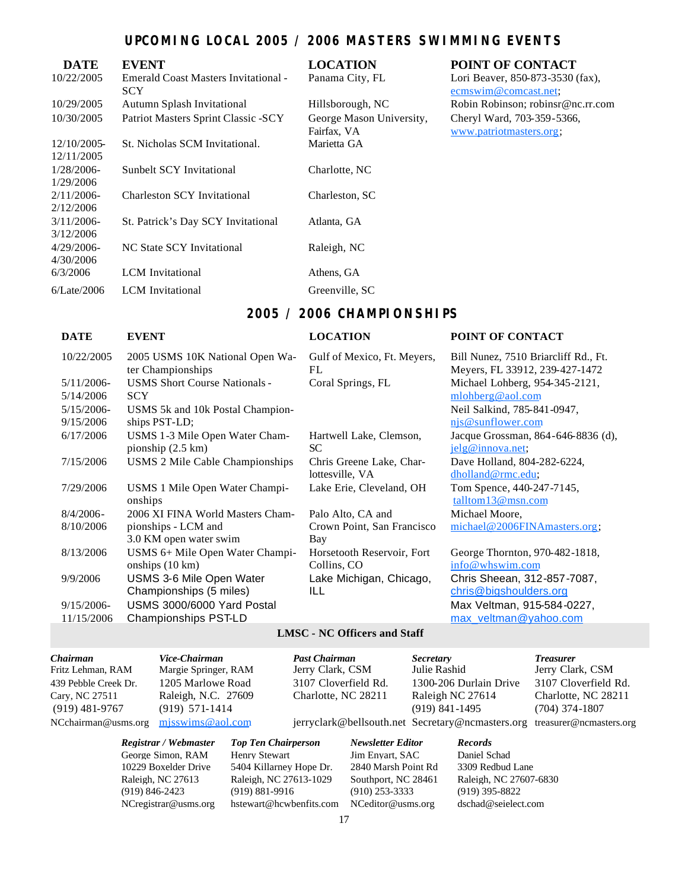## **UPCOMING LOCAL 2005 / 2006 MASTERS SWIMMING EVENTS**

| <b>DATE</b>                | <b>EVENT</b>                                       | <b>LOCATION</b>                         | POINT OF CONTACT                                         |
|----------------------------|----------------------------------------------------|-----------------------------------------|----------------------------------------------------------|
| 10/22/2005                 | Emerald Coast Masters Invitational -<br><b>SCY</b> | Panama City, FL                         | Lori Beaver, 850-873-3530 (fax),<br>ecmswim@comcast.net; |
| 10/29/2005                 | Autumn Splash Invitational                         | Hillsborough, NC                        | Robin Robinson; robinsr@nc.rr.com                        |
| 10/30/2005                 | Patriot Masters Sprint Classic -SCY                | George Mason University,<br>Fairfax, VA | Cheryl Ward, 703-359-5366,<br>www.patriotmasters.org;    |
| 12/10/2005-<br>12/11/2005  | St. Nicholas SCM Invitational.                     | Marietta GA                             |                                                          |
| $1/28/2006$ -<br>1/29/2006 | Sunbelt SCY Invitational                           | Charlotte, NC                           |                                                          |
| $2/11/2006$ -<br>2/12/2006 | <b>Charleston SCY Invitational</b>                 | Charleston, SC                          |                                                          |
| 3/11/2006<br>3/12/2006     | St. Patrick's Day SCY Invitational                 | Atlanta, GA                             |                                                          |
| $4/29/2006$ -<br>4/30/2006 | NC State SCY Invitational                          | Raleigh, NC                             |                                                          |
| 6/3/2006                   | <b>LCM</b> Invitational                            | Athens, GA                              |                                                          |
| 6/Late/2006                | <b>LCM</b> Invitational                            | Greenville, SC                          |                                                          |

## **2005 / 2006 CHAMPIONSHIPS**

## **DATE EVENT LOCATION POINT OF CONTACT**

#### 10/22/2005 2005 USMS 10K National Open Water Championships Gulf of Mexico, Ft. Meyers, FL Bill Nunez, 7510 Briarcliff Rd., Ft. Meyers, FL 33912, 239-427-1472 5/11/2006- 5/14/2006 USMS Short Course Nationals - **SCY** Coral Springs, FL Michael Lohberg, 954-345-2121, mlohberg@aol.com 5/15/2006- 9/15/2006 USMS 5k and 10k Postal Championships PST-LD; Neil Salkind, 785-841-0947, njs@sunflower.com 6/17/2006 USMS 1-3 Mile Open Water Championship (2.5 km) Hartwell Lake, Clemson, SC Jacque Grossman, 864-646-8836 (d), jelg@innova.net; 7/15/2006 USMS 2 Mile Cable Championships Chris Greene Lake, Charlottesville, VA Dave Holland, 804-282-6224, dholland@rmc.edu; 7/29/2006 USMS 1 Mile Open Water Championships Lake Erie, Cleveland, OH Tom Spence, 440-247-7145, talltom13@msn.com 8/4/2006- 8/10/2006 2006 XI FINA World Masters Championships - LCM and 3.0 KM open water swim Palo Alto, CA and Crown Point, San Francisco Bay Michael Moore, michael@2006FINAmasters.org; 8/13/2006 USMS 6+ Mile Open Water Championships (10 km) Horsetooth Reservoir, Fort Collins, CO George Thornton, 970-482-1818, info@whswim.com 9/9/2006 USMS 3-6 Mile Open Water Championships (5 miles) Lake Michigan, Chicago, ILL Chris Sheean, 312-857-7087, chris@bigshoulders.org 9/15/2006- 11/15/2006 USMS 3000/6000 Yard Postal Championships PST-LD Max Veltman, 915-584-0227, max\_veltman@yahoo.com

#### **LMSC - NC Officers and Staff**

| Chairman             | Vice-Chairman        |
|----------------------|----------------------|
| Fritz Lehman, RAM    | Margie Springer, RAM |
| 439 Pebble Creek Dr. | 1205 Marlowe Road    |
| Cary, NC 27511       | Raleigh, N.C. 27609  |
| $(919)$ 481-9767     | $(919)$ 571-1414     |
| NCchairman@usms.org  | misswims@aol.com     |

*Registrar / Webmaster Top Ten Chairperson Newsletter Editor Records* George Simon, RAM Henry Stewart Jim Enyart, SAC Daniel Schad 10229 Boxelder Drive 5404 Killarney Hope Dr. 2840 Marsh Point Rd 3309 Redbud Lane (919) 846-2423 (919) 881-9916 (910) 253-3333 (919) 395-8822 NCregistrar@usms.org hstewart@hcwbenfits.com NCeditor@usms.org dschad@seielect.com

*Chairman Vice-Chairman Past Chairman Secretary Treasurer* Fritz Lehman, RAM Margie Springer, RAM Jerry Clark, CSM Julie Rashid Jerry Clark, CSM 3107 Cloverfield Rd. 1300-206 Durlain Drive 3107 Cloverfield Rd. P Charlotte, NC 28211 Raleigh NC 27614 Charlotte, NC 28211 (919) 481-9767 (919) 571-1414 (919) 841-1495 (704) 374-1807

jerryclark@bellsouth.net Secretary@ncmasters.org treasurer@ncmasters.org

Raleigh, NC 27613 Raleigh, NC 27613-1029 Southport, NC 28461 Raleigh, NC 27607-6830

17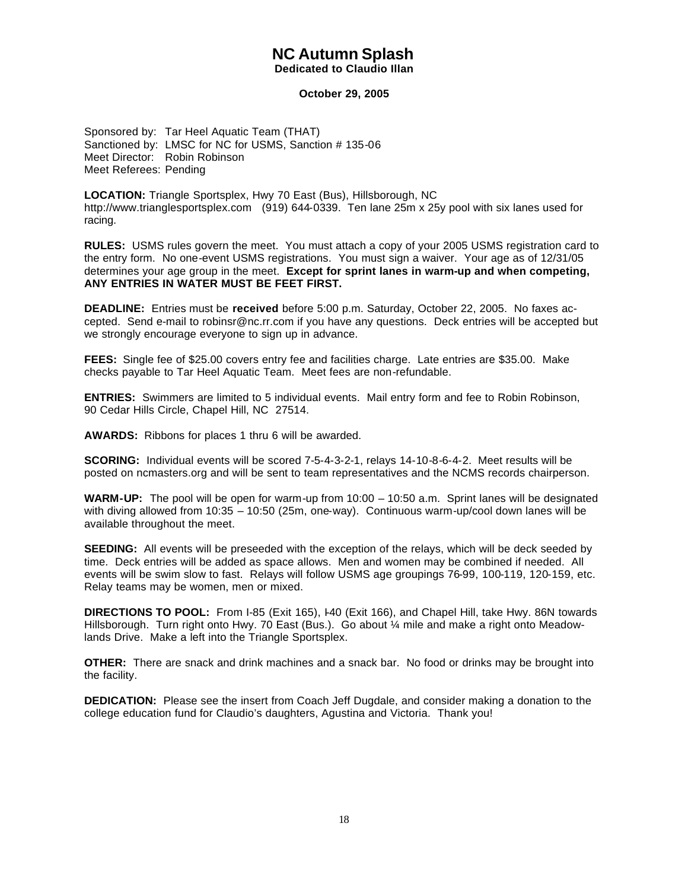## **NC Autumn Splash**

### **Dedicated to Claudio Illan**

#### **October 29, 2005**

Sponsored by: Tar Heel Aquatic Team (THAT) Sanctioned by: LMSC for NC for USMS, Sanction # 135-06 Meet Director: Robin Robinson Meet Referees: Pending

**LOCATION:** Triangle Sportsplex, Hwy 70 East (Bus), Hillsborough, NC http://www.trianglesportsplex.com (919) 644-0339. Ten lane 25m x 25y pool with six lanes used for racing.

**RULES:** USMS rules govern the meet. You must attach a copy of your 2005 USMS registration card to the entry form. No one-event USMS registrations. You must sign a waiver. Your age as of 12/31/05 determines your age group in the meet. **Except for sprint lanes in warm-up and when competing, ANY ENTRIES IN WATER MUST BE FEET FIRST.**

**DEADLINE:** Entries must be **received** before 5:00 p.m. Saturday, October 22, 2005. No faxes accepted. Send e-mail to robinsr@nc.rr.com if you have any questions. Deck entries will be accepted but we strongly encourage everyone to sign up in advance.

**FEES:** Single fee of \$25.00 covers entry fee and facilities charge. Late entries are \$35.00. Make checks payable to Tar Heel Aquatic Team. Meet fees are non-refundable.

**ENTRIES:** Swimmers are limited to 5 individual events. Mail entry form and fee to Robin Robinson, 90 Cedar Hills Circle, Chapel Hill, NC 27514.

**AWARDS:** Ribbons for places 1 thru 6 will be awarded.

**SCORING:** Individual events will be scored 7-5-4-3-2-1, relays 14-10-8-6-4-2. Meet results will be posted on ncmasters.org and will be sent to team representatives and the NCMS records chairperson.

**WARM-UP:** The pool will be open for warm-up from 10:00 – 10:50 a.m. Sprint lanes will be designated with diving allowed from 10:35 – 10:50 (25m, one-way). Continuous warm-up/cool down lanes will be available throughout the meet.

**SEEDING:** All events will be preseeded with the exception of the relays, which will be deck seeded by time. Deck entries will be added as space allows. Men and women may be combined if needed. All events will be swim slow to fast. Relays will follow USMS age groupings 76-99, 100-119, 120-159, etc. Relay teams may be women, men or mixed.

**DIRECTIONS TO POOL:** From I-85 (Exit 165), I-40 (Exit 166), and Chapel Hill, take Hwy. 86N towards Hillsborough. Turn right onto Hwy. 70 East (Bus.). Go about ¼ mile and make a right onto Meadowlands Drive. Make a left into the Triangle Sportsplex.

**OTHER:** There are snack and drink machines and a snack bar. No food or drinks may be brought into the facility.

**DEDICATION:** Please see the insert from Coach Jeff Dugdale, and consider making a donation to the college education fund for Claudio's daughters, Agustina and Victoria. Thank you!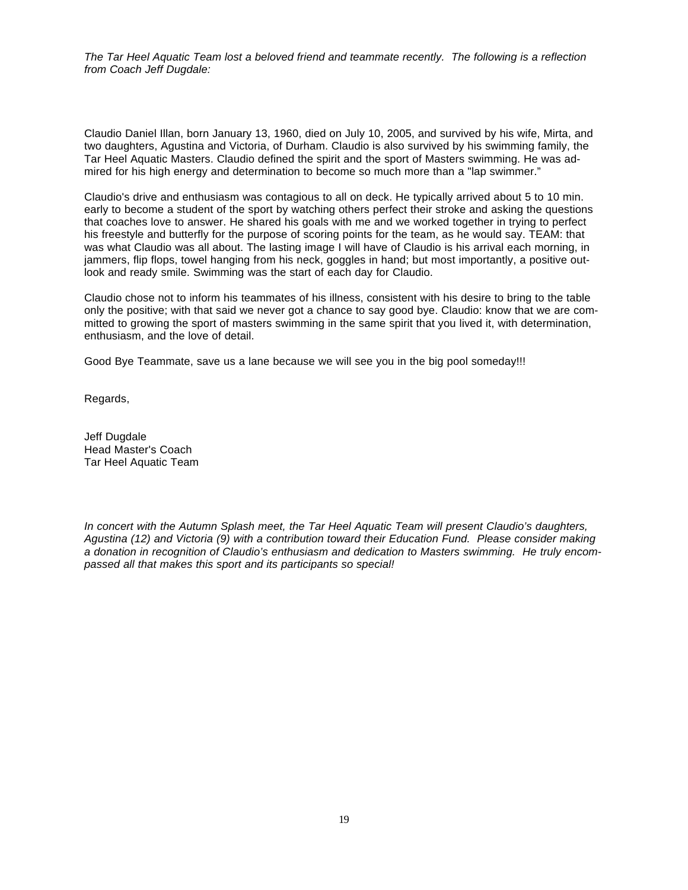*The Tar Heel Aquatic Team lost a beloved friend and teammate recently. The following is a reflection from Coach Jeff Dugdale:*

Claudio Daniel Illan, born January 13, 1960, died on July 10, 2005, and survived by his wife, Mirta, and two daughters, Agustina and Victoria, of Durham. Claudio is also survived by his swimming family, the Tar Heel Aquatic Masters. Claudio defined the spirit and the sport of Masters swimming. He was admired for his high energy and determination to become so much more than a "lap swimmer."

Claudio's drive and enthusiasm was contagious to all on deck. He typically arrived about 5 to 10 min. early to become a student of the sport by watching others perfect their stroke and asking the questions that coaches love to answer. He shared his goals with me and we worked together in trying to perfect his freestyle and butterfly for the purpose of scoring points for the team, as he would say. TEAM: that was what Claudio was all about. The lasting image I will have of Claudio is his arrival each morning, in jammers, flip flops, towel hanging from his neck, goggles in hand; but most importantly, a positive outlook and ready smile. Swimming was the start of each day for Claudio.

Claudio chose not to inform his teammates of his illness, consistent with his desire to bring to the table only the positive; with that said we never got a chance to say good bye. Claudio: know that we are committed to growing the sport of masters swimming in the same spirit that you lived it, with determination, enthusiasm, and the love of detail.

Good Bye Teammate, save us a lane because we will see you in the big pool someday!!!

Regards,

Jeff Dugdale Head Master's Coach Tar Heel Aquatic Team

*In concert with the Autumn Splash meet, the Tar Heel Aquatic Team will present Claudio's daughters, Agustina (12) and Victoria (9) with a contribution toward their Education Fund. Please consider making a donation in recognition of Claudio's enthusiasm and dedication to Masters swimming. He truly encompassed all that makes this sport and its participants so special!*